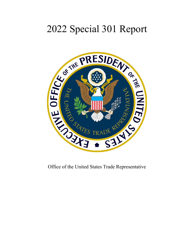# 2022 Special 301 Report



Office of the United States Trade Representative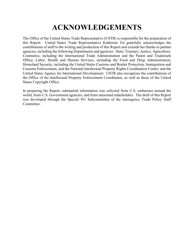# **ACKNOWLEDGEMENTS**

The Office of the United States Trade Representative (USTR) is responsible for the preparation of this Report. United States Trade Representative Katherine Tai gratefully acknowledges the contributions of staff to the writing and production of this Report and extends her thanks to partner agencies, including the following Departments and agencies: State; Treasury; Justice; Agriculture; Commerce, including the International Trade Administration and the Patent and Trademark Office; Labor; Health and Human Services, including the Food and Drug Administration; Homeland Security, including the United States Customs and Border Protection, Immigration and Customs Enforcement, and the National Intellectual Property Rights Coordination Center; and the United States Agency for International Development. USTR also recognizes the contributions of the Office of the Intellectual Property Enforcement Coordinator, as well as those of the United States Copyright Office.

In preparing the Report, substantial information was solicited from U.S. embassies around the world, from U.S. Government agencies, and from interested stakeholders. The draft of this Report was developed through the Special 301 Subcommittee of the interagency Trade Policy Staff Committee.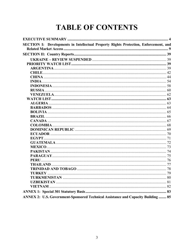# **TABLE OF CONTENTS**

| SECTION I: Developments in Intellectual Property Rights Protection, Enforcement, and |  |
|--------------------------------------------------------------------------------------|--|
|                                                                                      |  |
|                                                                                      |  |
|                                                                                      |  |
|                                                                                      |  |
|                                                                                      |  |
|                                                                                      |  |
|                                                                                      |  |
|                                                                                      |  |
|                                                                                      |  |
|                                                                                      |  |
|                                                                                      |  |
|                                                                                      |  |
|                                                                                      |  |
|                                                                                      |  |
|                                                                                      |  |
|                                                                                      |  |
|                                                                                      |  |
|                                                                                      |  |
|                                                                                      |  |
|                                                                                      |  |
|                                                                                      |  |
|                                                                                      |  |
|                                                                                      |  |
|                                                                                      |  |
|                                                                                      |  |
|                                                                                      |  |
|                                                                                      |  |
|                                                                                      |  |
|                                                                                      |  |
|                                                                                      |  |
|                                                                                      |  |
|                                                                                      |  |
|                                                                                      |  |
| ANNEX 2: U.S. Government-Sponsored Technical Assistance and Capacity Building  85    |  |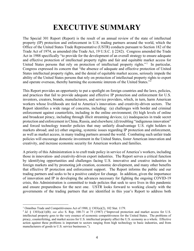# **EXECUTIVE SUMMARY**

<span id="page-3-0"></span>The Special 301 Report (Report) is the result of an annual review of the state of intellectual property (IP) protection and enforcement in U.S. trading partners around the world, which the Office of the United States Trade Representative (USTR) conducts pursuant to Section 182 of the Trade Act of 1974, as amended (the Trade Act, 19 U.S.C. § 2242). Congress amended the Trade Act in 1988 specifically "to provide for the development of an overall strategy to ensure adequate and effective protection of intellectual property rights and fair and equitable market access for United States persons that rely on protection of intellectual property rights."<sup>[1](#page-3-1)</sup> In particular, Congress expressed its concern that "the absence of adequate and effective protection of United States intellectual property rights, and the denial of equitable market access, seriously impede the ability of the United States persons that rely on protection of intellectual property rights to export and operate overseas, thereby harming the economic interests of the United States."[2](#page-3-2)

This Report provides an opportunity to put a spotlight on foreign countries and the laws, policies, and practices that fail to provide adequate and effective IP protection and enforcement for U.S. inventors, creators, brands, manufacturers, and service providers, which, in turn, harm American workers whose livelihoods are tied to America's innovation- and creativity-driven sectors. The Report identifies a wide range of concerns, including: (a) challenges with border and criminal enforcement against counterfeits, including in the online environment; (b) high levels of online and broadcast piracy, including through illicit streaming devices; (c) inadequacies in trade secret protection and enforcement in China, Russia, and elsewhere; (d) troubling "indigenous innovation" and forced technology transfer policies that may unfairly disadvantage U.S. right holders in markets abroad; and (e) other ongoing, systemic issues regarding IP protection and enforcement, as well as market access, in many trading partners around the world. Combating such unfair trade policies will encourage domestic investment in the United States, foster American innovation and creativity, and increase economic security for American workers and families.

A priority of this Administration is to craft trade policy in service of America's workers, including those in innovation- and creativity-driven export industries. The Report serves a critical function by identifying opportunities and challenges facing U.S. innovative and creative industries in foreign markets and by promoting job creation, economic development, and many other benefits that effective IP protection and enforcement support. The Report informs the public and our trading partners and seeks to be a positive catalyst for change. In addition, given the importance of innovation and IP in developing the advances necessary for fighting the ongoing COVID-19 crisis, this Administration is committed to trade policies that seek to save lives in this pandemic and ensure preparedness for the next one. USTR looks forward to working closely with the governments of the trading partners that are identified in this year's Report to address both

<span id="page-3-1"></span><sup>&</sup>lt;sup>1</sup> Omnibus Trade and Competitiveness Act of 1988,  $\frac{1}{9}$  1303(a)(2), 102 Stat. 1179.

<span id="page-3-2"></span><sup>2</sup> *Id.* § 1303(a)(1)(B); *see also* S. Rep. 100-71 at 75 (1987) ("Improved protection and market access for U.S. intellectual property goes to the very essence of economic competitiveness for the United States. The problems of piracy, counterfeiting, and market access for U.S. intellectual property affect the U.S. economy as a whole. Effective action against these problems is important to sectors ranging from high technology to basic industries, and from manufacturers of goods to U.S. service businesses.").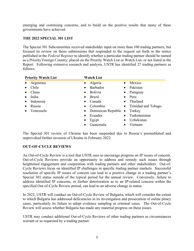emerging and continuing concerns, and to build on the positive results that many of these governments have achieved.

#### **THE 2022 SPECIAL 301 LIST**

The Special 301 Subcommittee received stakeholder input on more than 100 trading partners, but focused its review on those submissions that responded to the request set forth in the notice published in the *Federal Register* to identify whether a particular trading partner should be named as a Priority Foreign Country, placed on the Priority Watch List or Watch List, or not listed in the Report. Following extensive research and analysis, USTR has identified 27 trading partners as follows:

| <b>Priority Watch List</b> | <b>Watch List</b>              |                           |
|----------------------------|--------------------------------|---------------------------|
| Argentina<br>$\bullet$     | Algeria<br>$\bullet$           | Mexico                    |
| Chile                      | <b>Barbados</b><br>$\bullet$   | Pakistan<br>$\bullet$     |
| China                      | <b>Bolivia</b><br>$\bullet$    | • Paraguay                |
| India<br>$\bullet$         | <b>Brazil</b><br>$\bullet$     | $\bullet$ Peru            |
| Indonesia                  | Canada<br>$\bullet$            | Thailand<br>$\bullet$     |
| Russia<br>$\bullet$        | Colombia<br>$\bullet$          | • Trinidad and Tobago     |
| Venezuela<br>$\bullet$     | • Dominican Republic $\bullet$ | Turkey                    |
|                            | Ecuador<br>$\bullet$           | Turkmenistan<br>$\bullet$ |
|                            | Egypt                          | Uzbekistan<br>$\bullet$   |
|                            | Guatemala                      | Vietnam                   |

The Special 301 review of Ukraine has been suspended due to Russia's premeditated and unprovoked further invasion of Ukraine in February 2022.

# **OUT-OF-CYCLE REVIEWS**

An Out-of-Cycle Review is a tool that USTR uses to encourage progress on IP issues of concern. Out-of-Cycle Reviews provide an opportunity to address and remedy such issues through heightened engagement and cooperation with trading partners and other stakeholders. Out-of-Cycle Reviews focus on identified IP challenges in specific trading partner markets. Successful resolution of specific IP issues of concern can lead to a positive change in a trading partner's Special 301 status outside of the typical period for the annual review. Conversely, failure to address identified IP concerns, or further deterioration as to an IP-related concern within the specified Out-of-Cycle Review period, can lead to an adverse change in status.

In 2022, USTR will conduct an Out-of-Cycle Review of Bulgaria, which will consider the extent to which Bulgaria has addressed deficiencies in its investigation and prosecution of online piracy cases, particularly its failure to adopt evidence sampling in criminal cases. The Out-of-Cycle Review will assess whether Bulgaria has made any material progress on these issues.

USTR may conduct additional Out-of-Cycle Reviews of other trading partners as circumstances warrant or as requested by a trading partner.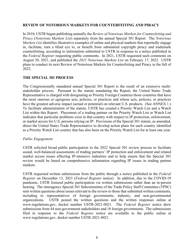#### **REVIEW OF NOTORIOUS MARKETS FOR COUNTERFEITING AND PIRACY**

In 2010, USTR began publishing annually the *Review of Notorious Markets for Counterfeiting and Piracy* (*Notorious Markets List*) separately from the annual Special 301 Report. The *Notorious Markets List* identifies illustrative examples of online and physical markets that reportedly engage in, facilitate, turn a blind eye to, or benefit from substantial copyright piracy and trademark counterfeiting, according to information submitted to USTR in response to a notice published in the *Federal Register* requesting public comments. In 2021, USTR requested such comments on August 30, 2021, and published the *2021 Notorious Markets List* on February 17, 2022. USTR plans to conduct its next Review of Notorious Markets for Counterfeiting and Piracy in the fall of 2022.

#### **THE SPECIAL 301 PROCESS**

The Congressionally mandated annual Special 301 Report is the result of an extensive multistakeholder process. Pursuant to the statute mandating the Report, the United States Trade Representative is charged with designating as Priority Foreign Countries those countries that have the most onerous or egregious acts, policies, or practices and whose acts, policies, or practices have the greatest adverse impact (actual or potential) on relevant U.S. products. (See ANNEX 1.) To facilitate administration of the statute, USTR has created a Priority Watch List and a Watch List within this Report. Placement of a trading partner on the Priority Watch List or Watch List indicates that particular problems exist in that country with respect to IP protection, enforcement, or market access for U.S. persons relying on IP. Provisions of the Special 301 statute, as amended, direct the United States Trade Representative to develop action plans for each country identified as a Priority Watch List country that has also been on the Priority Watch List for at least one year.

#### *Public Engagement*

USTR solicited broad public participation in the 2022 Special 301 review process to facilitate sound, well-balanced assessments of trading partners' IP protection and enforcement and related market access issues affecting IP-intensive industries and to help ensure that the Special 301 review would be based on comprehensive information regarding IP issues in trading partner markets.

USTR requested written submissions from the public through a notice published in the *Federal Register* on December 13, 2021 (*Federal Register* notice). In addition, due to the COVID-19 pandemic, USTR fostered public participation via written submissions rather than an in-person hearing. The interagency Special 301 Subcommittee of the Trade Policy Staff Committee (TPSC) sent written questions about issues relevant to the review to those that submitted written comments, including to representatives of foreign governments, industry, and non-governmental organizations. USTR posted the written questions and the written responses online at www.regulations.gov, docket number USTR-2021-0021. The *Federal Register* notice drew submissions from 44 non-government stakeholders and 18 foreign governments. The submissions filed in response to the *Federal Register* notice are available to the public online at www.regulations.gov, docket number USTR-2021-0021.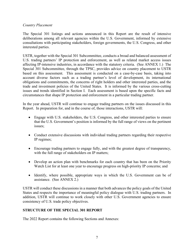# *Country Placement*

The Special 301 listings and actions announced in this Report are the result of intensive deliberations among all relevant agencies within the U.S. Government, informed by extensive consultations with participating stakeholders, foreign governments, the U.S. Congress, and other interested parties.

USTR, together with the Special 301 Subcommittee, conducts a broad and balanced assessment of U.S. trading partners' IP protection and enforcement, as well as related market access issues affecting IP-intensive industries, in accordance with the statutory criteria. (See ANNEX 1.) The Special 301 Subcommittee, through the TPSC, provides advice on country placement to USTR based on this assessment. This assessment is conducted on a case-by-case basis, taking into account diverse factors such as a trading partner's level of development, its international obligations and commitments, the concerns of right holders and other interested parties, and the trade and investment policies of the United States. It is informed by the various cross-cutting issues and trends identified in Section I. Each assessment is based upon the specific facts and circumstances that shape IP protection and enforcement in a particular trading partner.

In the year ahead, USTR will continue to engage trading partners on the issues discussed in this Report. In preparation for, and in the course of, those interactions, USTR will:

- Engage with U.S. stakeholders, the U.S. Congress, and other interested parties to ensure that the U.S. Government's position is informed by the full range of views on the pertinent issues;
- Conduct extensive discussions with individual trading partners regarding their respective IP regimes;
- Encourage trading partners to engage fully, and with the greatest degree of transparency, with the full range of stakeholders on IP matters;
- Develop an action plan with benchmarks for each country that has been on the Priority Watch List for at least one year to encourage progress on high-priority IP concerns; and
- Identify, where possible, appropriate ways in which the U.S. Government can be of assistance. (See ANNEX 2.)

USTR will conduct these discussions in a manner that both advances the policy goals of the United States and respects the importance of meaningful policy dialogue with U.S. trading partners. In addition, USTR will continue to work closely with other U.S. Government agencies to ensure consistency of U.S. trade policy objectives.

# **STRUCTURE OF THE SPECIAL 301 REPORT**

The 2022 Report contains the following Sections and Annexes: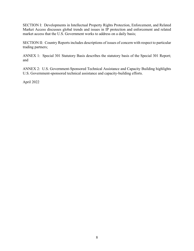SECTION I: Developments in Intellectual Property Rights Protection, Enforcement, and Related Market Access discusses global trends and issues in IP protection and enforcement and related market access that the U.S. Government works to address on a daily basis;

SECTION II: Country Reports includes descriptions of issues of concern with respect to particular trading partners;

ANNEX 1: Special 301 Statutory Basis describes the statutory basis of the Special 301 Report; and

ANNEX 2: U.S. Government-Sponsored Technical Assistance and Capacity Building highlights U.S. Government-sponsored technical assistance and capacity-building efforts.

April 2022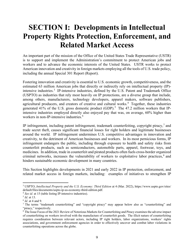# <span id="page-8-0"></span>**SECTION I: Developments in Intellectual Property Rights Protection, Enforcement, and Related Market Access**

An important part of the mission of the Office of the United States Trade Representative (USTR) is to support and implement the Administration's commitment to protect American jobs and workers and to advance the economic interests of the United States. USTR works to protect American innovation and creativity in foreign markets employing all the tools of U.S. trade policy, including the annual Special 301 Report (Report).

Fostering innovation and creativity is essential to U.S. economic growth, competitiveness, and the estimated 63 million American jobs that directly or indirectly rely on intellectual property (IP)- intensive industries.<sup>[3](#page-8-1)</sup> IP-intensive industries, defined by the U.S. Patent and Trademark Office (USPTO) as industries that rely most heavily on IP protections, are a diverse group that include, among others, manufacturers, technology developers, apparel makers, software publishers, agricultural producers, and creators of creative and cultural works.<sup>[4](#page-8-2)</sup> Together, these industries generated 41% of the U.S. gross domestic product (GDP).<sup>[5](#page-8-3)</sup> The 47.2 million workers that IPintensive industries employed directly also enjoyed pay that was, on average, 60% higher than workers in non-IP-intensive industries.<sup>[6](#page-8-4)</sup>

IP infringement, including patent infringement, trademark counterfeiting, copyright piracy,<sup>[7](#page-8-5)</sup> and trade secret theft, causes significant financial losses for right holders and legitimate businesses around the world. IP infringement undermines U.S. competitive advantages in innovation and creativity, to the detriment of American businesses and workers. In its most pernicious forms, IP infringement endangers the public, including through exposure to health and safety risks from counterfeit products, such as semiconductors, automobile parts, apparel, footwear, toys, and medicines. In addition, trade in counterfeit and pirated products often fuels cross-border organized criminal networks, increases the vulnerability of workers to exploitative labor practices, [8](#page-8-6) and hinders sustainable economic development in many countries.

This Section highlights developments in 2021 and early 2022 in IP protection, enforcement, and related market access in foreign markets, including: examples of initiatives to strengthen IP

<span id="page-8-1"></span><sup>3</sup> USPTO, *Intellectual Property and the U.S. Economy: Third Edition* at 4 (Mar. 2022), https://www.uspto.gov/sites/ default/files/documents/uspto-ip-us-economy-third-edition.pdf.

<span id="page-8-2"></span><sup>4</sup> *See id.* at 15 (table listing IP-intensive industries).

<span id="page-8-3"></span><sup>5</sup> *Id.* at 13.

<span id="page-8-4"></span><sup>6</sup> *Id.* at 4 and 9.

<span id="page-8-5"></span><sup>7</sup> The terms "trademark counterfeiting" and "copyright piracy" may appear below also as "counterfeiting" and "piracy," respectively.

<span id="page-8-6"></span><sup>&</sup>lt;sup>8</sup> The Issue Focus of the 2021 Review of Notorious Markets for Counterfeiting and Piracy examines the adverse impact of counterfeiting on workers involved with the manufacture of counterfeit goods. The illicit nature of counterfeiting requires coordination between relevant actors, including IP right holders, labor organizations, workers' rights associations, and government enforcement agencies in order to effectively uncover and combat labor violations in counterfeiting operations across the globe.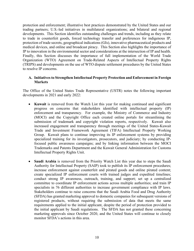protection and enforcement; illustrative best practices demonstrated by the United States and our trading partners; U.S.-led initiatives in multilateral organizations; and bilateral and regional developments. This Section identifies outstanding challenges and trends, including as they relate to trade in counterfeit goods, forced technology transfer and preferences for indigenous IP, protection of trade secrets, geographical indications (GIs), innovative pharmaceutical products and medical devices, and online and broadcast piracy. This Section also highlights the importance of IP to innovation in the environmental sector and considerations at the intersection of IP and health. Finally, this Section discusses the importance of full implementation of the World Trade Organization (WTO) Agreement on Trade-Related Aspects of Intellectual Property Rights (TRIPS) and developments on the use of WTO dispute settlement procedures by the United States to resolve IP concerns.

#### **A. Initiatives to Strengthen Intellectual Property Protection and Enforcement in Foreign Markets**

The Office of the United States Trade Representative (USTR) notes the following important developments in 2021 and early 2022:

- **Kuwait** is removed from the Watch List this year for making continued and significant progress on concerns that stakeholders identified with intellectual property (IP) enforcement and transparency. For example, the Ministry of Commerce and Industry (MOCI) and the Copyright Office each created online portals for streamlining the submission of trademark and copyright violation reports, respectively. Kuwait also increased engagement and transparency through meetings of the United States-Kuwait Trade and Investment Framework Agreement (TIFA) Intellectual Property Working Group. Kuwait plans to continue improving its IP enforcement systems by providing specialized training for its investigators, prosecutors, and judiciary; by conducting IPfocused public awareness campaigns; and by linking information between the MOCI Trademarks and Patents Department and the Kuwait General Administration for Customs Intellectual Property Rights Unit.
- **Saudi Arabia** is removed from the Priority Watch List this year due to steps the Saudi Authority for Intellectual Property (SAIP) took to publish its IP enforcement procedures; increase enforcement against counterfeit and pirated goods and online pirated content; create specialized IP enforcement courts with trained judges and expedited timelines; conduct strong IP awareness, outreach, training, and support; set up a centralized committee to coordinate IP enforcement actions across multiple authorities; and train IP specialists in 76 different authorities to increase government compliance with IP laws. Stakeholders continue to raise concerns that the Saudi Arabia Food and Drug Authority (SFDA) has granted marketing approval to domestic companies for subsequent versions of registered products, without requiring the submission of data that meets the same requirements applied to the initial applicant, despite the period of protection provided to the initial applicant by Saudi regulations. The SFDA has not granted these concerning marketing approvals since October 2020, and the United States will continue to closely monitor SFDA's actions in this area.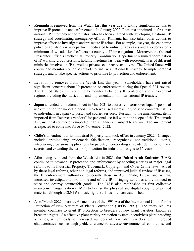- **Romania** is removed from the Watch List this year due to taking significant actions to improve IP protection and enforcement. In January 2022, Romania appointed its first-ever national IP enforcement coordinator, who has been charged with developing a national IP strategy and coordinating interagency efforts. Romania has also taken other actions to improve efforts to investigate and prosecute IP crime. For example, last year, the economic police established a new department dedicated to online piracy cases and also dedicated a minimum of two additional officers per county to IP investigations. Moreover, the General Prosecutor Office's Intellectual Property Coordination Department resumed coordination of IP working group sessions, holding meetings last year with representatives of different ministries involved in IP as well as private sector representatives. The United States will continue to monitor Romania's efforts to finalize a national IP strategy, to implement that strategy, and to take specific actions to prioritize IP protection and enforcement.
- **Lebanon** is removed from the Watch List this year. Stakeholders have not raised significant concerns about IP protection or enforcement during the Special 301 review. The United States will continue to monitor Lebanon's IP protection and enforcement regime, including the ratification and implementation of international IP treaties.
- **Japan** amended its Trademark Act in May 2021 to address concerns over Japan's personal use exemption for imported goods, which was used increasingly to send counterfeit items to individuals in Japan via postal and courier services. Pursuant to the amendment, items imported from "overseas vendors" for personal use fall within the scope of the Trademark Act, such that counterfeits imported in this manner are subject to seizure. The amendment is expected to come into force by November 2022.
- **Chile**'s amendment to its Industrial Property Law took effect in January 2022. Changes include criminalizing trademark falsification, recognizing non-traditional marks, introducing provisional applications for patents, incorporating a broader definition of trade secrets, and extending the term of protection for industrial designs to 15 years.
- After being removed from the Watch List in 2021, the **United Arab Emirates** (UAE) continued to advance IP protection and enforcement by enacting a series of major legal reforms to its Industrial Property, Trademark, Copyright, and Cyber Crime laws. Aided by these legal reforms, other non-legal reforms, and improved judicial review of IP cases, the IP enforcement authorities, especially those in Abu Dhabi, Dubai, and Ajman, increased investigations into online and offline IP infringing activities and continued to seize and destroy counterfeit goods. The UAE also established its first collective management organization (CMO) to license the physical and digital copying of printed material, although a CMO for music rights still has not been established.
- As of March 2022, there are 61 members of the 1991 Act of the International Union for the Protection of New Varieties of Plants Convention (UPOV 1991). The treaty requires member countries to grant IP protection to breeders of new plant varieties, known as breeder's rights. An effective plant variety protection system incentivizes plant-breeding activities, which leads to increased numbers of new plant varieties with improved characteristics such as high-yield, tolerance to adverse environmental conditions, and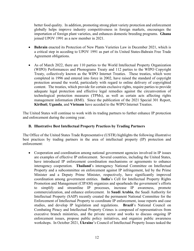better food quality. In addition, promoting strong plant variety protection and enforcement globally helps improve industry competitiveness in foreign markets, encourages the importation of foreign plant varieties, and enhances domestic breeding programs. **Ghana** joined UPOV 1991 as a new member in 2021.

- **Bahrain** enacted its Protection of New Plants Varieties Law in December 2021, which is a critical step in acceding to UPOV 1991 as part of its United States-Bahrain Free Trade Agreement obligations.
- As of March 2022, there are 110 parties to the World Intellectual Property Organization (WIPO) Performances and Phonograms Treaty and 112 parties to the WIPO Copyright Treaty, collectively known as the WIPO Internet Treaties. These treaties, which were completed in 1996 and entered into force in 2002, have raised the standard of copyright protection around the world, particularly with regard to online delivery of copyrighted content. The treaties, which provide for certain exclusive rights, require parties to provide adequate legal protection and effective legal remedies against the circumvention of technological protection measures (TPMs), as well as certain acts affecting rights management information (RMI). Since the publication of the 2021 Special 301 Report, **Kiribati**, **Uganda**, and **Vietnam** have acceded to the WIPO Internet Treaties.

The United States will continue to work with its trading partners to further enhance IP protection and enforcement during the coming year.

# **B. Illustrative Best Intellectual Property Practices by Trading Partners**

The Office of the United States Trade Representative (USTR) highlights the following illustrative best practices by trading partners in the area of intellectual property (IP) protection and enforcement:

• Cooperation and coordination among national government agencies involved in IP issues are examples of effective IP enforcement. Several countries, including the United States, have introduced IP enforcement coordination mechanisms or agreements to enhance interagency cooperation. **Thailand**'s interagency National Committee on Intellectual Property and a subcommittee on enforcement against IP infringement, led by the Prime Minister and a Deputy Prime Minister, respectively, have significantly improved coordination among government entities. **India**'s Cell for Intellectual Property Rights Promotion and Management (CIPAM) organizes and spearheads the government's efforts to simplify and streamline IP processes, increase IP awareness, promote commercialization, and enhance enforcement. In **Saudi Arabia**, the Saudi Authority for Intellectual Property (SAIP) recently created the permanent National Committee for the Enforcement of Intellectual Property to coordinate IP enforcement, issue reports and case studies, and develop IP legislation and regulations. **Brazil**'s National Council on Combating Piracy and Intellectual Property Crimes is composed of representatives from executive branch ministries, and the private sector and works to discuss ongoing IP enforcement issues, propose public policy initiatives, and organize public awareness workshops. In October 2021, **Ukraine**'s Council of Intellectual Property Issues tasked the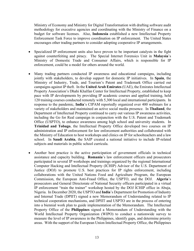Ministry of Economy and Ministry for Digital Transformation with drafting software audit methodology for executive agencies and coordinating with the Ministry of Finance on a budget for software licenses. Also, **Indonesia** established a new Intellectual Property Enforcement Task Force to improve coordination on IP enforcement. The United States encourages other trading partners to consider adopting cooperative IP arrangements.

- Specialized IP enforcement units also have proven to be important catalysts in the fight against counterfeiting and piracy. The Special Internet Forensics Unit in **Malaysia**'s Ministry of Domestic Trade and Consumer Affairs, which is responsible for IP enforcement, could be a model for others around the world.
- Many trading partners conducted IP awareness and educational campaigns, including jointly with stakeholders, to develop support for domestic IP initiatives. In **Spain**, the Ministry of Industry, Trade, and Tourism's Patent and Trademark Office carried out campaigns against IP theft. In the **United Arab Emirates** (UAE), the Emirates Intellectual Property Association's Dhahi Khalfan Center for Intellectual Property, established to keep pace with IP developments by providing IP academic courses and applied training, held 120 training courses conducted remotely with 5,300 local and international participants. In response to the pandemic, **India**'s CIPAM reportedly organized over 400 webinars for a variety of stakeholders and maintained an active social media presence. In **Thailand**, the Department of Intellectual Property continued to carry out various IP awareness activities, including the Go for Real campaign in conjunction with the U.S. Patent and Trademark Office (USPTO), to enhance awareness among high school and university students. In **Trinidad and Tobago**, the Intellectual Property Office developed two courses on IP administration and IP enforcement for law enforcement authorities and collaborated with the Ministry of Education to host workshops and clinics on IP for schoolteachers and a law school. In **Saudi Arabia**, the SAIP created a national initiative to include IP-related subjects and materials in public school curricula.
- Another best practice is the active participation of government officials in technical assistance and capacity building. **Romania**'s law enforcement officers and prosecutors participated in several IP workshops and trainings organized by the regional International Computer Hacking and Intellectual Property (ICHIP) Advisor of the U.S. Department of Justice (DOJ) to promote U.S. best practices for IP rights enforcement, including collaborations with the United Nations Food and Agriculture Program, the European Commission, the European Anti-Fraud Office, the USPTO, and the DOJ. **Algeria**'s prosecutors and General Directorate of National Security officers participated in a virtual IP enforcement "train the trainer" workshop hosted by the DOJ ICHIP office in Abuja, Nigeria. In December 2020, the USPTO and **India**'s Department for Promotion of Industry and Internal Trade (DPIIT) signed a new Memorandum of Understanding related to IP technical cooperation mechanisms, and DPIIT and USPTO are in the process of entering into a biennial work plan to guide implementation of the Memorandum. The Intellectual Property Office of the **Philippines** signed a Memorandum of Understanding with the World Intellectual Property Organization (WIPO) to conduct a nationwide survey to measure the level of IP awareness in the Philippines, identify gaps, and determine priority areas. With the support of the European Union Intellectual Property Office, the Philippines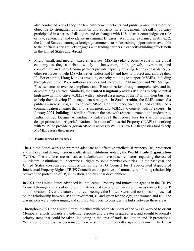also conducted a workshop for law enforcement officers and public prosecutors with the objective to strengthen coordination and capacity on enforcement. **Brazil**'s judiciary participated in a series of dialogues and exchanges with U.S. district court judges on rule of law, sentencing, and evidence in criminal IP cases. As further explained in Annex 2, the United States encourages foreign governments to make training opportunities available to their officials and actively engages with trading partners in capacity-building efforts both in the United States and abroad.

• Micro, small, and medium-sized enterprises (MSMEs) play a positive role in the global economy as they contribute widely to innovation, trade, growth, investment, and competition, and many trading partners provide capacity building, technical assistance, or other resources to help MSMEs better understand IP and how to protect and enforce their IP. For example, **Hong Kong** is providing capacity building to support MSMEs, including through pro bono IP consultation services and in-house "IP Manager" and "IP Manager Plus" schemes to oversee compliance and IP monetization through comprehensive and indepth training courses. Similarly, the **United Kingdom** provides IP audits to help potential high growth, innovative MSMEs with a tailored assessment of the IP within their business to help them develop IP management strategies. In **Saudi Arabia**, the SAIP launched a public awareness program to educate MSMEs on the importance of IP and established a communication channel that allows inventors and MSMEs to consult with IP experts. In January 2021, building on similar efforts in the past with respect to patents and trademarks, **India** notified Design (Amendment) Rules 2021 that reduce fees for startups seeking design protection. **Algeria**'s National Institute of Industrial Property (INAPI) is working with WIPO to provide Algerian MSMEs access to WIPO's new IP Diagnostics tool to help MSMEs assess their needs.

# **C. Multilateral Initiatives**

The United States works to promote adequate and effective intellectual property (IP) protection and enforcement through various multilateral institutions, notably the **World Trade Organization** (WTO). These efforts are critical, as stakeholders have raised concerns regarding the use of multilateral institutions to undermine IP rights by some member countries. In the past year, the United States co-sponsored discussions in the WTO Council for Trade-Related Aspects of Intellectual Property Rights (TRIPS Council) on the positive and mutually reinforcing relationship between the protection of IP, innovation, and business development.

In 2021, the United States advanced its Intellectual Property and Innovation agenda in the TRIPS Council through a series of different initiatives that cover often unexplored areas connected to IP and innovation. Over the course of three meetings, the United States and co-sponsors presented on the relationship between IP and investment, IP and green technology, and women and IP. The discussions were wide-ranging and spurred Members to consider the links between these areas.

Throughout 2021, the United States, together with other Members of the WTO, worked to orient Members' efforts towards a pandemic response and greater preparedness, and sought to identify priority steps that could be taken, including in the area of trade facilitation and IP protections. While some progress has been made, there is still no multilaterally agreed outcome. The Biden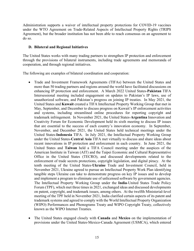Administration supports a waiver of intellectual property protections for COVID-19 vaccines under the WTO Agreement on Trade-Related Aspects of Intellectual Property Rights (TRIPS Agreement), but the broader institution has not been able to reach consensus on an agreement to do so.

# **D. Bilateral and Regional Initiatives**

The United States works with many trading partners to strengthen IP protection and enforcement through the provisions of bilateral instruments, including trade agreements and memoranda of cooperation, and through regional initiatives.

The following are examples of bilateral coordination and cooperation:

- Trade and Investment Framework Agreements (TIFAs) between the United States and more than 50 trading partners and regions around the world have facilitated discussions on enhancing IP protection and enforcement. A March 2022 United States-**Pakistan** TIFA Intersessional meeting included engagement on updates to Pakistan's IP laws, use of unauthorized software, and Pakistan's progress on joining IP treaties. In May 2021, the United States and **Kuwait** created a TIFA Intellectual Property Working Group that met in May, September, and December to discuss progress on Kuwait's IP enforcement activities and systems, including streamlined online procedures for reporting copyright and trademark infringement. In November 2021, the United States-**Argentina** Innovation and Creativity Forum for Economic Development held its sixth meeting to discuss IP issues that are essential to the success of each country's innovation economy. In September, November, and December 2021, the United States held technical meetings under the United States-**Indonesia** TIFA. In July 2021, the Intellectual Property Working Group under the United States-**Central Asia** TIFA met virtually to discuss and share ideas about recent innovations in IP protection and enforcement in each country. In June 2021, the United States and **Taiwan** held a TIFA Council meeting under the auspices of the American Institute in Taiwan (AIT) and the Taipei Economic and Cultural Representative Office in the United States (TECRO), and discussed developments related to the enforcement of trade secrets protections, copyright legislation, and digital piracy. At the tenth meeting of the United States-**Ukraine** Trade and Investment Council, held in November 2021, Ukraine agreed to pursue an Intellectual Property Work Plan identifying tangible steps Ukraine can take to demonstrate progress on key IP issues and to develop and implement a program to eliminate use of unlicensed software by government agencies. The Intellectual Property Working Group under the **India**-United States Trade Policy Forum (TPF), which met three times in 2021, exchanged ideas and discussed developments on patent, copyright, and trademark issues, among others. At the twelfth Ministerial-level meeting of the TPF held in November 2021, India clarified certain aspects of its patent and trademark systems and agreed to comply with the World Intellectual Property Organization (WIPO) Performances and Phonograms Treaty and WIPO Copyright Treaty, collectively known as the WIPO Internet Treaties.
- The United States engaged closely with **Canada** and **Mexico** on the implementation of provisions under the United States-Mexico-Canada Agreement (USMCA), which entered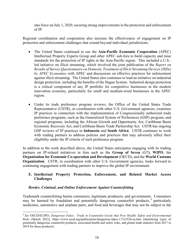into force on July 1, 2020, securing strong improvements in the protection and enforcement of IP.

Regional coordination and cooperation also increase the effectiveness of engagement on IP protection and enforcement challenges that extend beyond individual jurisdictions:

- The United States continued to use the **Asia-Pacific Economic Cooperation** (APEC) Intellectual Property Experts Group and other APEC sub-fora to build capacity and raise standards for the protection of IP rights in the Asia-Pacific region. This included a U.S. led initiative on illicit streaming, which involved the joint publication of the *Report on Results of Survey Questionnaire on Domestic Treatment of Illicit Streaming Devices (ISDs) by APEC Economies* with APEC and discussions on effective practices for enforcement against illicit streaming. The United States also continues to lead an initiative on industrial design protection, including the benefits of the Hague System. Industrial design protection is a critical component of any IP portfolio for competitive businesses in the modern innovation economy, particularly for small and medium-sized businesses in the APEC region.
- Under its trade preference program reviews, the Office of the United States Trade Representative (USTR), in coordination with other U.S. Government agencies, examines IP practices in connection with the implementation of Congressionally authorized trade preference programs, such as the Generalized System of Preferences (GSP) program, and regional programs, including the African Growth and Opportunity Act, Caribbean Basin Economic Recovery Act, and Caribbean Basin Trade Partnership Act. USTR has ongoing GSP reviews of IP practices in **Indonesia** and **South Africa**. USTR continues to work with trading partners to address policies and practices that may adversely affect their eligibility under the IP criteria of each preference program.

In addition to the work described above, the United States anticipates engaging with its trading partners on IP-related initiatives in fora such as the **Group of Seven** (G7**)**, **WIPO**, the **Organisation for Economic Co-operation and Development** (OECD), and the **World Customs Organization**. USTR, in coordination with other U.S. Government agencies, looks forward to continuing engagement with trading partners to improve the global IP environment.

# **E. Intellectual Property Protection, Enforcement, and Related Market Access Challenges**

# *Border, Criminal, and Online Enforcement Against Counterfeiting*

Trademark counterfeiting harms consumers, legitimate producers, and governments. Consumers may be harmed by fraudulent and potentially dangerous counterfeit products, <sup>[9](#page-15-0)</sup> particularly medicines, automotive and airplane parts, and food and beverages that may not be subject to the

<span id="page-15-0"></span><sup>9</sup> *See* OECD/EUIPO, *Dangerous Fakes: Trade in Counterfeit Goods that Pose Health, Safety and Environmental Risks* (March 2022), https://www.oecd.org/publications/dangerous-fakes-117e352b-en.htm (identifying types of potentially dangerous counterfeit products, associated health and safety risks, and global trade statistics from 2017 to 2019 for these products).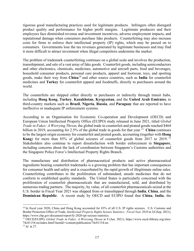rigorous good manufacturing practices used for legitimate products. Infringers often disregard product quality and performance for higher profit margins. Legitimate producers and their employees face diminished revenue and investment incentives, adverse employment impacts, and reputational damage when consumers purchase fake products. Counterfeiting may also increase costs for firms to enforce their intellectual property (IP) rights, which may be passed on to consumers. Governments lose the tax revenues generated by legitimate businesses and may find it more difficult to attract investment when illegal competitors undermine the market.

The problem of trademark counterfeiting continues on a global scale and involves the production, transshipment, and sale of a vast array of fake goods. Counterfeit goods, including semiconductors and other electronics, chemicals, medicines, automotive and aircraft parts, food and beverages, household consumer products, personal care products, apparel and footwear, toys, and sporting goods, make their way from **China**[10](#page-16-0) and other source countries, such as **India** for counterfeit medicines and **Turkey** for counterfeit apparel and foodstuffs, directly to purchasers around the world.

The counterfeits are shipped either directly to purchasers or indirectly through transit hubs, including **Hong Kong**, **Turkey**, **Kazakhstan**, **Kyrgyzstan**, and the **United Arab Emirates**, to third-country markets such as **Brazil**, **Nigeria**, **Russia**, and **Paraguay** that are reported to have ineffective or inadequate IP enforcement systems.

According to an Organisation for Economic Co-operation and Development (OECD) and European Union Intellectual Property Office (EUIPO) study released in June 2021, titled *Global Trade in Fakes: A Worrying Threat*, the global trade in counterfeit and pirated goods reached \$464 billion in 2019, accounting for 2.5% of the global trade in goods for that year.<sup>11</sup> China continues to be the largest origin economy for counterfeit and pirated goods, accounting (together with **Hong Kong**) for more than 85% of global seizures of counterfeit goods from 2017 to 2019. [12](#page-16-2) Stakeholders also continue to report dissatisfaction with border enforcement in **Singapore**, including concerns about the lack of coordination between Singapore's Customs authorities and the Singapore Police Force's Intellectual Property Rights Branch.

The manufacture and distribution of pharmaceutical products and active pharmaceutical ingredients bearing counterfeit trademarks is a growing problem that has important consequences for consumer health and safety and is exacerbated by the rapid growth of illegitimate online sales. Counterfeiting contributes to the proliferation of substandard, unsafe medicines that do not conform to established quality standards. The United States is particularly concerned with the proliferation of counterfeit pharmaceuticals that are manufactured, sold, and distributed by numerous trading partners. The majority, by value, of all counterfeit pharmaceuticals seized at the U.S. border in Fiscal Year 2021 was shipped from or transshipped through **India**, **China**, and the **Dominican Republic**. A recent study by OECD and EUIPO found that **China**, **India**, the

<span id="page-16-0"></span><sup>&</sup>lt;sup>10</sup> In fiscal year 2020, China and Hong Kong accounted for 83% of all U.S. IP rights seizures. U.S. Customs and Border Protection Office of Trade, *Intellectual Property Rights Seizure Statistics: Fiscal Year 2020* at 24 (Sep. 2021), https://www.cbp.gov/document/report/fy-2020-ipr-seizure-statistics.

<span id="page-16-1"></span><sup>11</sup> OECD/EUIPO, *Global Trade in Fakes: A Worrying Threat* at 9 (Jun. 2021), https://www.oecd-ilibrary.org/sites/ 74c81154-en/index.html?itemId=/content/publication/74c81154-en.

<span id="page-16-2"></span><sup>12</sup> *Id.* at 27.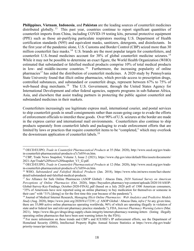**Philippines**, **Vietnam**, **Indonesia**, and **Pakistan** are the leading sources of counterfeit medicines distributed globally.<sup>[13](#page-17-0)</sup> This past year, countries continue to report significant quantities of counterfeit imports from China, including COVID-19 testing kits, personal protective equipment (PPE) such as those air-purifying particulate respirators meeting U.S. Department of Health certification standards (N95) and equivalent masks, sanitizers, detergents, and disinfectants. In the first year of the pandemic alone, U.S. Customs and Border Control (CBP) seized more than 30 million counterfeit face masks.<sup>14</sup> U.S. brands are the most popular targets for counterfeiters, and counterfeit U.S.-brand medicines account for 38% of global counterfeit medicine seizures. [15](#page-17-2) While it may not be possible to determine an exact figure, the World Health Organization (WHO) estimated that substandard or falsified medical products comprise 10% of total medical products in low- and middle-income countries. [16](#page-17-3) Furthermore, the increasing popularity of online pharmacies<sup>[17](#page-17-4)</sup> has aided the distribution of counterfeit medicines. A 2020 study by Pennsylvania State University found that illicit online pharmacies, which provide access to prescription drugs, controlled substances, and substandard or counterfeit drugs, represent between 67% to 75% of web-based drug merchants.<sup>[18](#page-17-5)</sup> The U.S. Government, through the United States Agency for International Development and other federal agencies, supports programs in sub-Saharan Africa, Asia, and elsewhere that assist trading partners in protecting the public against counterfeit and substandard medicines in their markets.

Counterfeiters increasingly use legitimate express mail, international courier, and postal services to ship counterfeit goods in small consignments rather than ocean-going cargo to evade the efforts of enforcement officials to interdict these goods. Over 90% of U.S. seizures at the border are made in the express carrier and international mail environments. Counterfeiters also continue to ship products separately from counterfeit labels and packaging to evade enforcement efforts that are limited by laws or practices that require counterfeit items to be "completed," which may overlook the downstream application of counterfeit labels.<sup>[19](#page-17-6)</sup>

<span id="page-17-0"></span><sup>13</sup> OECD/EUIPO, *Trade in Counterfeit Pharmaceutical Products* at 35 (Mar. 2020), http://www.oecd.org/gov/tradein-counterfeit-pharmaceutical-products-a7c7e054-en.htm.

<span id="page-17-1"></span><sup>14</sup> CBP, Trade News Snapshot, Volume 3, Issue 2 (2021), https://www.cbp.gov/sites/default/files/assets/documents/ 2021-Apr/Trade%20News%20Snapshot\_V3\_I2.pdf.

<span id="page-17-2"></span><sup>15</sup> OECD/EUIPO, *Trade in Counterfeit Pharmaceutical Products* at 12 (Mar. 2020), http://www.oecd.org/gov/tradein-counterfeit-pharmaceutical-products-a7c7e054-en.htm.

<span id="page-17-3"></span><sup>16</sup> WHO, *Substandard and Falsified Medical Products* (Jan. 2018), https://www.who.int/news-room/fact-sheets/ detail/substandard-and-falsified-medical-products.

<span id="page-17-4"></span><sup>17</sup> *See* Alliance for Safe Online Pharmacies (ASOP Global) / Abacus Data, *2020 National Survey on American Perceptions of Online Pharmacies* (Oct. 2020), https://buysaferx.pharmacy/wp-content/uploads/2020/10/ASOP-Global-Survey-Key-Findings\_October-2020-FINAL.pdf (based on a July 2020 poll of 1500 American consumers, "35% of Americans have now reported using an online pharmacy to buy medication for themselves or someone in their care" with "31% [doing] so for the first time this year because of the pandemic").

<span id="page-17-5"></span><sup>18</sup> Journal of Medical Internet Research, *Managing Illicit Online Pharmacies: Web Analytics and Predictive Models Study* (Aug. 2020), https://www.jmir.org/2020/8/e17239/; *cf.* ASOP Global / Abacus Data, *infra* ("At any given time, there are 35,000 active online pharmacies operating worldwide, 96% of which are operating illegally in violation of state and/or federal law and relevant pharmacy practice standards."); FDA, *Internet Pharmacy Warning Letters* (Mar. 2021), https://www.fda.gov/drugs/drug-supply-chain-integrity/internet-pharmacy-warning-letters (listing illegally operating online pharmacies that have been sent warning letters by the FDA).

<span id="page-17-6"></span><sup>&</sup>lt;sup>19</sup> For more information on these trends and CBP's and ICE/HSI's IP enforcement efforts, see the Department of Homeland Security (DHS), Intellectual Property Rights Annual Seizure Statistics at https://www.cbp.gov/trade/ priority-issues/ipr/statistics.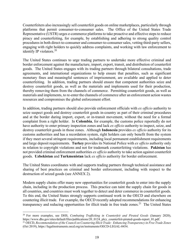Counterfeiters also increasingly sell counterfeit goods on online marketplaces, particularly through platforms that permit consumer-to-consumer sales. The Office of the United States Trade Representative (USTR) urges e-commerce platforms to take proactive and effective steps to reduce piracy and counterfeiting, for example, by establishing and adhering to strong quality control procedures in both direct-to-consumer and consumer-to-consumer sales, vetting third-party sellers, engaging with right holders to quickly address complaints, and working with law enforcement to identify IP violators. $20$ 

The United States continues to urge trading partners to undertake more effective criminal and border enforcement against the manufacture, import, export, transit, and distribution of counterfeit goods. The United States engages with its trading partners through bilateral consultations, trade agreements, and international organizations to help ensure that penalties, such as significant monetary fines and meaningful sentences of imprisonment, are available and applied to deter counterfeiting. In addition, trading partners should ensure that competent authorities seize and destroy counterfeit goods, as well as the materials and implements used for their production, thereby removing them from the channels of commerce. Permitting counterfeit goods, as well as materials and implements, to re-enter the channels of commerce after an enforcement action wastes resources and compromises the global enforcement effort.

In addition, trading partners should also provide enforcement officials with *ex officio* authority to seize suspect goods and destroy counterfeit goods in-country as part of their criminal procedures and at the border during import, export, or in-transit movement, without the need for a formal complaint from a right holder. In **Colombia**, for example, the customs police reportedly do not have authority to enter primary inspection zones and lack *ex officio* authority to inspect, seize, and destroy counterfeit goods in those zones. Although **Indonesia** provides *ex officio* authority for its customs authorities and has a recordation system, right holders can only benefit from the system if they meet several stringent requirements, including local permanent establishment requirements and large deposit requirements. **Turkey** provides its National Police with *ex officio* authority only in relation to copyright violations and not for trademark counterfeiting violations. **Pakistan** has not provided criminal enforcement authorities *ex officio* authority to take action against counterfeit goods. **Uzbekistan** and **Turkmenistan** lack *ex officio* authority for border enforcement.

The United States coordinates with and supports trading partners through technical assistance and sharing of best practices on criminal and border enforcement, including with respect to the destruction of seized goods (see ANNEX 2).

Modern supply chains offer many new opportunities for counterfeit goods to enter into the supply chain, including in the production process. This practice can taint the supply chain for goods in all countries, and countries must work together to detect and deter commerce in counterfeit goods. To this end, the United States strongly supports continued work in the OECD and elsewhere on countering illicit trade. For example, the OECD recently adopted recommendations for enhancing transparency and reducing opportunities for illicit trade in free trade zones.<sup>[21](#page-18-1)</sup> The United States

<span id="page-18-0"></span><sup>20</sup> For more examples, see DHS, *Combating Trafficking in Counterfeit and Pirated Goods* (January 2020), https://www.dhs.gov/sites/default/files/publications/20\_0124\_plcy\_counterfeit-pirated-goods-report\_01.pdf. <sup>21</sup> OECD, *Recommendation of the Council on Countering Illicit Trade: Enhancing Transparency in Free Trade Zones*

<span id="page-18-1"></span><sup>(</sup>Oct 2019), https://legalinstruments.oecd.org/en/instruments/OECD-LEGAL-0454.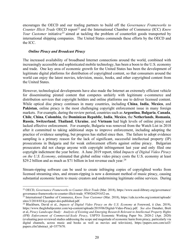encourages the OECD and our trading partners to build off the *Governance Frameworks to Counter Illicit Trade* OECD report<sup>[22](#page-19-0)</sup> and the International Chamber of Commerce (ICC) *Know Your Customer* initiative<sup>[23](#page-19-1)</sup> aimed at tackling the problem of counterfeit goods transported by international shipping companies. The United States commends these efforts by the OECD and the ICC.

#### *Online Piracy and Broadcast Piracy*

The increased availability of broadband Internet connections around the world, combined with increasingly accessible and sophisticated mobile technology, has been a boon to the U.S. economy and trade. One key area of economic growth for the United States has been the development of legitimate digital platforms for distribution of copyrighted content, so that consumers around the world can enjoy the latest movies, television, music, books, and other copyrighted content from the United States.

However, technological developments have also made the Internet an extremely efficient vehicle for disseminating pirated content that competes unfairly with legitimate e-commerce and distribution services that copyright holders and online platforms use to deliver licensed content. While optical disc piracy continues in many countries, including **China**, **India**, **Mexico**, and **Pakistan**, online piracy is the most challenging copyright enforcement issue in many foreign markets. For example, during the review period, countries such as **Argentina**, **Bulgaria**, **Canada**, **Chile**, **China**, **Colombia**, the **Dominican Republic**, **India**, **Mexico**, the **Netherlands**, **Romania**, **Russia**, **Switzerland**, **Thailand**, **Ukraine**, and **Vietnam** had high levels of online piracy and lacked effective enforcement. For example, Bulgaria was removed from the Watch List in 2018 after it committed to taking additional steps to improve enforcement, including adopting the practice of evidence sampling, but progress has stalled since then. The failure to adopt evidence sampling is a primary reason for the lack of significant, successful intellectual property (IP) prosecutions in Bulgaria and for weak enforcement efforts against online piracy. Bulgarian prosecutors did not charge anyone with copyright infringement last year and only filed one copyright indictment the year before. A June 2019 report, titled *Impacts of Digital Video Piracy on the U.S. Economy*, estimated that global online video piracy costs the U.S. economy at least \$29.2 billion and as much as \$71 billion in lost revenue each year.<sup>[24](#page-19-2)</sup>

Stream-ripping software can be used to create infringing copies of copyrighted works from licensed streaming sites, and stream-ripping is now a dominant method of music piracy, causing substantial economic harm to music creators and undermining legitimate online services. During

<span id="page-19-0"></span><sup>22</sup> OECD, *Governance Frameworks to Counter Illicit Trade* (Mar. 2018), https://www.oecd-ilibrary.org/governance/ governance-frameworks-to-counter-illicit-trade\_9789264291652-en.

<span id="page-19-1"></span><sup>&</sup>lt;sup>23</sup> International Chamber of Commerce, *Know Your Customer* (Mar. 2018), https://cdn.iccwbo.org/content/uploads/ sites/3/2018/03/kyc-paper-doi-published.pdf.

<span id="page-19-2"></span><sup>24</sup> Blackburn, David et al., *Impacts of Digital Video Piracy on the U.S. Economy* at Foreword, ii (Jun. 2019), https://www.theglobalipcenter.com/wp-content/uploads/2019/06/Digital-Video-Piracy.pdf. *See also* Danaher, Brett et al, *Piracy Landscape Study: Analysis of Existing and Emerging Research Relevant to Intellectual Property Rights (IPR) Enforcement of Commercial-Scale Piracy*, USPTO Economic Working Paper No. 2020-2 (Apr. 2020) (evaluating peer-reviewed studies addressing the scope and magnitude of economic harm from piracy, particularly via digital channels, across music and books as well as movies and television), https://papers.ssrn.com/sol3/ papers.cfm?abstract\_id=3577670.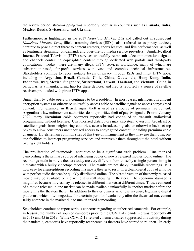the review period, stream-ripping was reportedly popular in countries such as **Canada**, **India**, **Mexico**, **Russia**, **Switzerland**, and **Ukraine**.

Furthermore, as highlighted in the 2017 *Notorious Markets List* and called out in subsequent *Notorious Markets Lists*, illicit streaming devices (ISDs), also referred to as piracy devices, continue to pose a direct threat to content creators, sports leagues, and live performances, as well as legitimate streaming, on-demand, and over-the-top media service providers. Similarly, illicit Internet Protocol Television (IPTV) services unlawfully retransmit telecommunications signals and channels containing copyrighted content through dedicated web portals and third-party applications. Today, there are many illegal IPTV services worldwide, many of which are subscription-based, for-profit services with vast and complex technical infrastructures. Stakeholders continue to report notable levels of piracy through ISDs and illicit IPTV apps, including in **Argentina**, **Brazil**, **Canada**, **Chile**, **China**, **Guatemala**, **Hong Kong**, **India**, **Indonesia**, **Iraq**, **Mexico**, **Singapore**, **Switzerland**, **Taiwan**, **Thailand**, and **Vietnam**. China, in particular, is a manufacturing hub for these devices, and Iraq is reportedly a source of satellite receivers pre-loaded with pirate IPTV apps.

Signal theft by cable operators continues to be a problem. In most cases, infringers circumvent encryption systems or otherwise unlawfully access cable or satellite signals to access copyrighted content. For example, in **Brazil**, signal theft is used as a source of premium live content. **Argentina**'s law enforcement authorities do not prioritize theft of pay-tv signals. Prior to January 2022, many **Ukrainian** cable operators reportedly had continued to transmit audiovisual programming without licenses. Unauthorized distributors may also steal "overspill" broadcast or satellite signals from neighboring countries, access broadcast signals, or otherwise hack set-top boxes to allow consumers unauthorized access to copyrighted content, including premium cable channels. Hotels remain common sites of this type of infringement as they may use their own, onsite facilities to intercept programing services and retransmit them throughout the hotel without paying right holders.

The proliferation of "camcords" continues to be a significant trade problem. Unauthorized camcording is the primary source of infringing copies of newly released movies found online. The recordings made in movie theaters today are very different from those by a single person sitting in a theater with a bulky videotape recorder. The results are not shaky, inaudible recordings. It is now easy for a surreptitious recording in a movie theater to result in a clean digital copy of a movie with perfect audio that can be quickly distributed online. The pirated version of the newly released movie may be available online while it is still showing in theaters. The economic damage is magnified because movies may be released in different markets at different times. Thus, a camcord of a movie released in one market can be made available unlawfully in another market before the movie hits the theaters there. In addition to theater owners who lose revenue, legitimate digital platforms, which often negotiate for a certain period of exclusivity after the theatrical run, cannot fairly compete in the market due to unauthorized camcording.

Stakeholders continue to report serious concerns regarding unauthorized camcords. For example, in **Russia**, the number of sourced camcords prior to the COVID-19 pandemic was reportedly 48 in 2018 and 45 in 2019. While COVID-19-related cinema closures suppressed this activity during the pandemic, camcords have reportedly reappeared as theaters have started to re-open. In early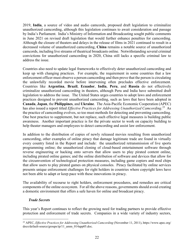2019, **India**, a source of video and audio camcords, proposed draft legislation to criminalize unauthorized camcording, although this legislation continues to await consideration and passage by India's Parliament. India's Ministry of Information and Broadcasting sought public comments in June 2021 on revised draft legislation that would further enhance penalties for camcording. Although the closure of theaters and delays in the release of films in 2021 continued to result in a decreased volume of unauthorized camcording, **China** remains a notable source of unauthorized camcords, including live streams of theatrical broadcasts online. Notwithstanding several criminal convictions for unauthorized camcording in 2020, China still lacks a specific criminal law to address the issue.

Countries also need to update legal frameworks to effectively deter unauthorized camcording and keep up with changing practices. For example, the requirement in some countries that a law enforcement officer must observe a person camcording and then prove that the person is circulating the unlawfully recorded movie before intervening often precludes effective enforcement. Countries like **Argentina**, **Brazil**, **Ecuador**, **India**, **Peru**, and **Russia** do not effectively criminalize unauthorized camcording in theaters, although Peru and India have submitted draft legislation to address the issue. The United States urges countries to adopt laws and enforcement practices designed to prevent unauthorized camcording, such as laws that have been adopted in **Canada**, **Japan**, the **Philippines**, and **Ukraine**. The Asia-Pacific Economic Cooperation (APEC) has also issued a report titled *Effective Practices for Addressing Unauthorized Camcording*. [25](#page-21-0) As the practice of camcording evolves, so too must methods for detecting and preventing camcording. One best practice to supplement, but not replace, such effective legal measures is building public awareness. Another important practice is for the private sector to work on capacity building to help theater managers and employees to detect camcording and assist law enforcement.

In addition to the distribution of copies of newly released movies resulting from unauthorized camcording, other examples of online piracy that damage legitimate trade are found in virtually every country listed in the Report and include: the unauthorized retransmission of live sports programming online; the unauthorized cloning of cloud-based entertainment software through reverse engineering or hacking onto servers that allow users to play pirated content online, including pirated online games; and the online distribution of software and devices that allow for the circumvention of technological protection measures, including game copiers and mod chips that allow users to play pirated games on physical consoles. Piracy facilitated by online services presents unique enforcement challenges for right holders in countries where copyright laws have not been able to adapt or keep pace with these innovations in piracy.

The availability of recourse to right holders, enforcement procedures, and remedies are critical components of the online ecosystem. For all the above reasons, governments should avoid creating a domestic environment that offers a safe haven for online and broadcast piracy.

#### *Trade Secrets*

This year's Report continues to reflect the growing need for trading partners to provide effective protection and enforcement of trade secrets. Companies in a wide variety of industry sectors,

<span id="page-21-0"></span><sup>25</sup> APEC, *Effective Practices for Addressing Unauthorized Camcording* (November 11, 2011), https://www.apec.org/ docs/default-source/groups/ip/11\_amm\_014app05.doc.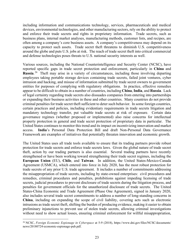including information and communications technology, services, pharmaceuticals and medical devices, environmental technologies, and other manufacturing sectors, rely on the ability to protect and enforce their trade secrets and rights in proprietary information. Trade secrets, such as business plans, internal market analyses, manufacturing methods, customer lists, and recipes, are often among a company's core business assets. A company's competitiveness may depend on its capacity to protect such assets. Trade secret theft threatens to diminish U.S. competitiveness around the globe and puts U.S. jobs at risk. The reach of trade secret theft into critical commercial and defense technologies poses threats to U.S. national security interests as well.

Various sources, including the National Counterintelligence and Security Center (NCSC), have reported specific gaps in trade secret protection and enforcement, particularly in **China** and **Russia**. [26](#page-22-0) Theft may arise in a variety of circumstances, including those involving departing employees taking portable storage devices containing trade secrets, failed joint ventures, cyber intrusion and hacking, and misuse of information submitted by trade secret owners to government entities for purposes of complying with regulatory obligations. In practice, effective remedies appear to be difficult to obtain in a number of countries, including **China**, **India**, and **Russia**. Lack of legal certainty regarding trade secrets also dissuades companies from entering into partnerships or expanding their business activities in these and other countries. Many countries do not provide criminal penalties for trade secret theft sufficient to deter such behavior. In some foreign countries, certain practices and policies, including evidentiary requirements in trade secrets litigation and mandatory technology transfer, put valuable trade secrets at risk of exposure. Certain data governance regimes (whether proposed or implemented) also raise concerns for intellectual property protection in general and trade secret protection of proprietary data in particular. The United States continues to monitor this trend and its impact on incentivizing innovation and market access. **India**'s Personal Data Protection Bill and draft Non-Personal Data Governance Framework are examples of initiatives that potentially threaten innovation and economic growth.

The United States uses all trade tools available to ensure that its trading partners provide robust protection for trade secrets and enforce trade secrets laws. Given the global nature of trade secret theft, action by our trading partners is also essential. Several trading partners have recently strengthened or have been working toward strengthening their trade secret regimes, including the **European Union** (EU), **Chile**, and **Taiwan**. In addition, the United States-Mexico-Canada Agreement (USMCA), which entered into force in July 2020, has the most robust protection for trade secrets of any prior U.S. trade agreement. It includes a number of commitments addressing the misappropriation of trade secrets, including by state-owned enterprises: civil procedures and remedies, criminal procedures and penalties, prohibitions against impeding licensing of trade secrets, judicial procedures to prevent disclosure of trade secrets during the litigation process, and penalties for government officials for the unauthorized disclosure of trade secrets. The United States-China Economic and Trade Agreement (Phase One Agreement), signed in January 2020, also includes several trade secret commitments to address a number of long-standing concerns in **China**, including on expanding the scope of civil liability, covering acts such as electronic intrusions as trade secret theft, shifting the burden of producing evidence, making it easier to obtain preliminary injunctions to prevent use of stolen trade secrets, allowing criminal investigations without need to show actual losses, ensuring criminal enforcement for willful misappropriation,

<span id="page-22-0"></span><sup>26</sup> NCSC, *Foreign Economic Espionage in Cyberspace* at 5-9 (2018), https://www.dni.gov/files/NCSC/documents/ news/20180724-economic-espionage-pub.pdf.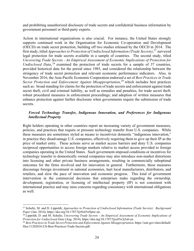and prohibiting unauthorized disclosure of trade secrets and confidential business information by government personnel or third-party experts.

Action in international organizations is also crucial. For instance, the United States strongly supports continued work in the Organisation for Economic Co-operation and Development (OECD) on trade secret protection, building off two studies released by the OECD in 2014. The first study, titled *Approaches to Protection of Undisclosed Information (Trade Secrets)*, [27](#page-23-0) surveyed legal protection for trade secrets available in a sample of countries. The second study, titled *Uncovering Trade Secrets - An Empirical Assessment of Economic Implications of Protection for Undisclosed Data*, <sup>[28](#page-23-1)</sup> examined the protection of trade secrets for a sample of 37 countries, provided historical data for the period since 1985, and considered the relationship between the stringency of trade secret protection and relevant economic performance indicators. Also, in November 2016, the Asia-Pacific Economic Cooperation endorsed a set of *Best Practices in Trade*  Secret Protection and Enforcement Against Misappropriation,<sup>[29](#page-23-2)</sup> which includes best practices such as: broad standing for claims for the protection of trade secrets and enforcement against trade secret theft; civil and criminal liability, as well as remedies and penalties, for trade secret theft; robust procedural measures in enforcement proceedings; and adoption of written measures that enhance protection against further disclosure when governments require the submission of trade secrets.

#### *Forced Technology Transfer, Indigenous Innovation, and Preferences for Indigenous Intellectual Property*

Right holders operating in other countries report an increasing variety of government measures, policies, and practices that require or pressure technology transfer from U.S. companies. While these measures are sometimes styled as means to incentivize domestic "indigenous innovation," in practice they disadvantage U.S. companies, effectively requiring them to give up their IP as the price of market entry. These actions serve as market access barriers and deny U.S. companies reciprocal opportunities to access foreign markets relative to market access provided to foreign companies operating in the United States. Such government-imposed conditions or incentives for technology transfer to domestically owned companies may also introduce non-market distortions into licensing and other private business arrangements, resulting in commercially suboptimal outcomes for the firms involved and for innovation in general. Furthermore, these measures discourage foreign investment in national economies, hurt local manufacturers, distributors, and retailers, and slow the pace of innovation and economic progress. This kind of government intervention in the commercial decisions that enterprises make regarding the ownership, development, registration, or licensing of intellectual property (IP) is not consistent with international practice and may raise concerns regarding consistency with international obligations as well.

<span id="page-23-0"></span><sup>27</sup> Schultz, M. and D. Lippoldt, *Approaches to Protection of Undisclosed Information (Trade Secrets): Background Paper* (Jan. 2014), https://doi.org/10.1787/5jz9z43w0jnw-en.

<span id="page-23-1"></span><sup>28</sup> Lippoldt, D. and M. Schultz, *Uncovering Trade Secrets - An Empirical Assessment of Economic Implications of Protection for Undisclosed Data* (Aug. 2014), https://doi.org/10.1787/5jxzl5w3j3s6-en.

<span id="page-23-2"></span><sup>29</sup> *Best Practices in Trade Secret Protection and Enforcement Against Misappropriation*, https://ustr.gov/sites/default/ files/11202016-US-Best-Practices-Trade-Secrets.pdf.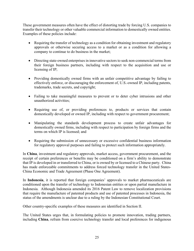These government measures often have the effect of distorting trade by forcing U.S. companies to transfer their technology or other valuable commercial information to domestically owned entities. Examples of these policies include:

- Requiring the transfer of technology as a condition for obtaining investment and regulatory approvals or otherwise securing access to a market or as a condition for allowing a company to continue to do business in the market;
- Directing state-owned enterprises in innovative sectors to seek non-commercial terms from their foreign business partners, including with respect to the acquisition and use or licensing of IP;
- Providing domestically owned firms with an unfair competitive advantage by failing to effectively enforce, or discouraging the enforcement of, U.S.-owned IP, including patents, trademarks, trade secrets, and copyright;
- Failing to take meaningful measures to prevent or to deter cyber intrusions and other unauthorized activities;
- Requiring use of, or providing preferences to, products or services that contain domestically developed or owned IP, including with respect to government procurement;
- Manipulating the standards development process to create unfair advantages for domestically owned firms, including with respect to participation by foreign firms and the terms on which IP is licensed; and
- Requiring the submission of unnecessary or excessive confidential business information for regulatory approval purposes and failing to protect such information appropriately.

In **China**, investment and regulatory approvals, market access, government procurement, and the receipt of certain preferences or benefits may be conditioned on a firm's ability to demonstrate that IP is developed in or transferred to China, or is owned by or licensed to a Chinese party. China has made enforceable commitments to address forced technology transfer in the United States-China Economic and Trade Agreement (Phase One Agreement).

In **Indonesia**, it is reported that foreign companies' approvals to market pharmaceuticals are conditioned upon the transfer of technology to Indonesian entities or upon partial manufacture in Indonesia. Although Indonesia amended its 2016 Patent Law to remove localization provisions that require the manufacture of patented products and use of patented processes in Indonesia, the status of the amendments is unclear due to a ruling by the Indonesian Constitutional Court.

Other country-specific examples of these measures are identified in Section II.

The United States urges that, in formulating policies to promote innovation, trading partners, including **China**, refrain from coercive technology transfer and local preferences for indigenous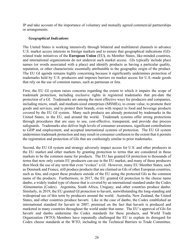IP and take account of the importance of voluntary and mutually agreed commercial partnerships or arrangements.

#### *Geographical Indications*

The United States is working intensively through bilateral and multilateral channels to advance U.S. market access interests in foreign markets and to ensure that geographical indications (GI) related trade initiatives of the **European Union** (EU**)**, its Member States, like-minded countries, and international organizations do not undercut such market access. GIs typically include place names (or words associated with a place) and identify products as having a particular quality, reputation, or other characteristic essentially attributable to the geographic origin of the product. The EU GI agenda remains highly concerning because it significantly undermines protection of trademarks held by U.S. producers and imposes barriers on market access for U.S.-made goods that rely on the use of common names, such as parmesan or feta.

First, the EU GI system raises concerns regarding the extent to which it impairs the scope of trademark protection, including exclusive rights in registered trademarks that pre-date the protection of a GI. Trademarks are among the most effective ways for producers and companies, including micro, small, and medium-sized enterprises (MSMEs), to create value, to promote their goods and services, and to protect their brands, even with respect to food and beverage products covered by the EU GI system. Many such products are already protected by trademarks in the United States, in the EU, and around the world. Trademark systems offer strong protections through procedures that are easy to use, cost-effective, transparent, and provide due process safeguards. Trademarks also deliver high levels of consumer awareness, significant contributions to GDP and employment, and accepted international systems of protection. The EU GI system undermines trademark protection and may result in consumer confusion to the extent that it permits the registration and protection of GIs that are confusingly similar to prior trademarks.

Second, the EU GI system and strategy adversely impact access for U.S. and other producers in the EU market and other markets by granting protection to terms that are considered in those markets to be the common name for products. The EU has granted GI protection to thousands of terms that now only certain EU producers can use in the EU market, and many of these producers then block the use of any term that even "evokes" a GI. However, many EU Member States, such as Denmark and France, still produce products that are claimed as GIs of other European countries, such as feta, and export these products outside of the EU using the protected GIs as the common name of the products. Furthermore, in 2017, the EU granted GI protection to the cheese name danbo, a widely traded type of cheese that is covered by an international standard under the Codex Alimentarius (Codex). Argentina, South Africa, Uruguay, and other countries produce danbo. Similarly, in 2019, the EU granted GI protection to havarti, notwithstanding the long-standing and widespread use of this term by producers around the world. Australia, New Zealand, the United States, and other countries produce havarti. Like in the case of danbo, the Codex established an international standard for havarti in 2007, premised on the fact that havarti is produced and marketed in many countries throughout the world under that name. The EU's approval of GIs for havarti and danbo undermine the Codex standards for these products, and World Trade Organization (WTO) Members have repeatedly challenged the EU to explain its disregard for Codex cheese standards at the WTO, including in the Technical Barriers to Trade Committee.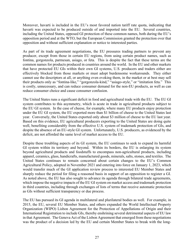Moreover, havarti is included in the EU's most favored nation tariff rate quota, indicating that havarti was expected to be produced outside of and imported into the EU. Several countries, including the United States, opposed GI protection of these common names, both during the EU's opposition period and at the WTO, but the European Commission granted the protection over that opposition and without sufficient explanation or notice to interested parties.

As part of its trade agreement negotiations, the EU pressures trading partners to prevent any producer, except from those in certain EU regions, from using certain product names, such as fontina, gorgonzola, parmesan, asiago, or feta. This is despite the fact that these terms are the common names for products produced in countries around the world. In the EU and other markets that have protected EU GIs within their own GI systems, U.S. producers and traders either are effectively blocked from those markets or must adopt burdensome workarounds. They either cannot use the descriptors at all, or anything even evoking them, in the market or at best may sell their products only as "fontina-like," "gorgonzola-kind," "asiago-style," or "imitation feta." This is costly, unnecessary, and can reduce consumer demand for the non-EU products, as well as can reduce consumer choice and cause consumer confusion.

The United States runs a significant deficit in food and agricultural trade with the EU. The EU GI system contributes to this asymmetry, which is acute in trade in agricultural products subject to the EU GI system. In the case of cheese, for example, where many EU products enjoy protection under the EU GI system, the EU exported more than \$1 billion of cheese to the United States last year. Conversely, the United States exported only about \$3 million of cheese to the EU last year. Based on this evidence, EU agricultural producers exporting to the United States are doing quite well, benefiting considerably from the effective U.S. system of trademark protection of GIs, and despite the absence of an EU-style GI system. Unfortunately, U.S. producers, as evidenced by the deficit, are not afforded the same level of market access to the EU.

Despite these troubling aspects of its GI system, the EU continues to seek to expand its harmful GI system within its territory and beyond. Within its borders, the EU is enlarging its system beyond agricultural products and foodstuffs to encompass non-agricultural products, including apparel, ceramics, glass, handicrafts, manufactured goods, minerals, salts, stones, and textiles. The United States continues to remain concerned about certain changes to the EU's Common Agricultural Policy, adopted in November 2021 and entering into force on January 1, 2023, which would transfer much of the GI application review process to interested EU Member States and sharply reduce the period for filing a reasoned basis in support of an opposition to register a GI. As noted above, the EU has also sought to advance its agenda through bilateral trade agreements, which impose the negative impacts of the EU GI system on market access and trademark protection in third countries, including through exchanges of lists of terms that receive automatic protection as GIs without sufficient transparency or due process.

The EU has pursued its GI agenda in multilateral and plurilateral bodies as well. For example, in 2015, the EU, several EU Member States, and others expanded the World Intellectual Property Organization (WIPO) Lisbon Agreement for the Protection of Appellations of Origin and their International Registration to include GIs, thereby enshrining several detrimental aspects of EU law in that Agreement. The Geneva Act of the Lisbon Agreement that emerged from these negotiations was the product of a decision led by the EU and certain Member States to break with the long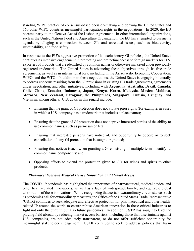standing WIPO practice of consensus-based decision-making and denying the United States and 160 other WIPO countries meaningful participation rights in the negotiations. In 2020, the EU became party to the Geneva Act of the Lisbon Agreement. In other international organizations, such as the United Nations Food and Agriculture Organization, the EU has attempted to pursue its agenda by alleging a connection between GIs and unrelated issues, such as biodiversity, sustainability, and food safety.

In response to the EU's aggressive promotion of its exclusionary GI policies, the United States continues its intensive engagement in promoting and protecting access to foreign markets for U.S. exporters of products that are identified by common names or otherwise marketed under previously registered trademarks. The United States is advancing these objectives through its free trade agreements, as well as in international fora, including in the Asia-Pacific Economic Cooperation, WIPO, and the WTO. In addition to these negotiations, the United States is engaging bilaterally to address concerns resulting from the GI provisions in existing EU trade agreements, agreements under negotiation, and other initiatives, including with **Argentina**, **Australia**, **Brazil**, **Canada**, **Chile**, **China**, **Ecuador**, **Indonesia**, **Japan**, **Kenya**, **Korea**, **Malaysia**, **Mexico**, **Moldova**, **Morocco**, **New Zealand**, **Paraguay**, the **Philippines**, **Singapore**, **Tunisia**, **Uruguay**, and **Vietnam**, among others. U.S. goals in this regard include:

- Ensuring that the grant of GI protection does not violate prior rights (for example, in cases in which a U.S. company has a trademark that includes a place name);
- Ensuring that the grant of GI protection does not deprive interested parties of the ability to use common names, such as parmesan or feta;
- Ensuring that interested persons have notice of, and opportunity to oppose or to seek cancellation of, any GI protection that is sought or granted;
- Ensuring that notices issued when granting a GI consisting of multiple terms identify its common name components; and
- Opposing efforts to extend the protection given to GIs for wines and spirits to other products.

# *Pharmaceutical and Medical Device Innovation and Market Access*

The COVID-19 pandemic has highlighted the importance of pharmaceutical, medical device, and other health-related innovations, as well as a lack of widespread, timely, and equitable global distribution of these innovations. While recognizing that certain extraordinary circumstances such as pandemics call for extraordinary measures, the Office of the United States Trade Representative (USTR) continues to seek adequate and effective protection for pharmaceutical and other healthrelated IP around the world to ensure robust American innovation in these critical industries to fight not only the current, but also future pandemics. In addition, USTR has sought to level the playing field abroad by reducing market access barriers, including those that discriminate against U.S. companies, are not adequately transparent, or do not offer sufficient opportunity for meaningful stakeholder engagement. USTR continues to seek to address policies that harm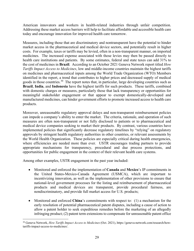American innovators and workers in health-related industries through unfair competition. Addressing these market access barriers will help to facilitate affordable and accessible health care today and encourage innovation for improved health care tomorrow.

Measures, including those that are discriminatory and nontransparent have the potential to hinder market access in the pharmaceutical and medical device sectors, and potentially result in higher costs. For example, taxes or tariffs may be levied, often in a non-transparent manner, on imported medicines. The increased expense associated with those levies may then be passed directly to health care institutions and patients. By some estimates, federal and state taxes can add 31% to the cost of medicines in **Brazil**. According to an October 2021 Geneva Network report titled *How Tariffs Impact Access to Medicines*, low and middle-income countries maintain the highest tariffs on medicines and pharmaceutical inputs among the World Trade Organization (WTO) Members identified in the report, a trend that contributes to higher prices and decreased supply of medical goods in those countries.[30](#page-28-0) The report notes that, in particular, large developing countries such as **Brazil**, **India**, and **Indonesia** have the highest tariffs for such products. These tariffs, combined with domestic charges or measures, particularly those that lack transparency or opportunities for meaningful stakeholder engagement or that appear to exempt domestically-developed and manufactured medicines, can hinder government efforts to promote increased access to health care products.

Moreover, unreasonable regulatory approval delays and non-transparent reimbursement policies can impede a company's ability to enter the market. The criteria, rationale, and operation of such measures are often non-transparent or not fully disclosed to patients or to pharmaceutical and medical device companies seeking to market their products. By contrast, various countries have implemented policies that significantly decrease regulatory timelines by "relying" on regulatory approvals by stringent health regulatory authorities in other countries, or relevant assessments by the World Health Organization. These policies are especially critical during health emergencies, where efficiencies are needed more than ever. USTR encourages trading partners to provide appropriate mechanisms for transparency, procedural and due process protections, and opportunities for public engagement in the context of their relevant health care systems.

Among other examples, USTR engagement in the past year included:

- Monitored and enforced the implementation of **Canada** and **Mexico**'s IP commitments in the United States-Mexico-Canada Agreement (USMCA), which are important to incentivizing innovation, as well as the implementation of other provisions to ensure that national-level government processes for the listing and reimbursement of pharmaceutical products and medical devices are transparent, provide procedural fairness, are nondiscriminatory, and provide full market access for U.S. products;
- Monitored and enforced **China**'s commitments with respect to: (1) a mechanism for the early resolution of potential pharmaceutical patent disputes, including a cause of action to allow a patent holder to seek expeditious remedies before the marketing of an allegedly infringing product; (2) patent term extensions to compensate for unreasonable patent office

<span id="page-28-0"></span><sup>30</sup> Geneva Network, *How Tariffs Impact Access to Medicines* (Oct. 2021), https://geneva-network.com/research/howtariffs-impact-access-to-medicines/.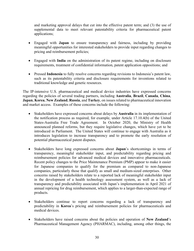and marketing approval delays that cut into the effective patent term; and (3) the use of supplemental data to meet relevant patentability criteria for pharmaceutical patent applications;

- Engaged with **Japan** to ensure transparency and fairness, including by providing meaningful opportunities for interested stakeholders to provide input regarding changes to pricing and reimbursement policies;
- Engaged with **India** on the administration of its patent regime, including on disclosure requirements, treatment of confidential information, patent application oppositions; and
- Pressed **Indonesia** to fully resolve concerns regarding revisions to Indonesia's patent law, such as its patentability criteria and disclosure requirements for inventions related to traditional knowledge and genetic resources.

The IP-intensive U.S. pharmaceutical and medical device industries have expressed concerns regarding the policies of several trading partners, including **Australia**, **Brazil**, **Canada**, **China**, **Japan**, **Korea**, **New Zealand**, **Russia**, and **Turkey**, on issues related to pharmaceutical innovation and market access. Examples of these concerns include the following:

- Stakeholders have expressed concerns about delays by **Australia** in its implementation of the notification process as required, for example, under Article 17.10.4(b) of the United States-Australia Free Trade Agreement. In October 2020, the Ministry of Health announced planned reforms, but they require legislative changes, which have yet to be introduced in Parliament. The United States will continue to engage with Australia as it introduces legislation to increase transparency and to promote the early resolution of potential pharmaceutical patent disputes.
- Stakeholders have long expressed concerns about **Japan**'s shortcomings in terms of transparency, meaningful stakeholder input, and predictability regarding pricing and reimbursement policies for advanced medical devices and innovative pharmaceuticals. Recent policy changes to the Price Maintenance Premium (PMP) appear to make it easier for Japanese companies to qualify for the premium as compared to non-Japanese companies, particularly those that qualify as small and medium-sized enterprises. Other concerns raised by stakeholders relate to a reported lack of meaningful stakeholder input in the development of a health technology assessment system, as well as a lack of transparency and predictability associated with Japan's implementation in April 2021 of annual repricing for drug reimbursement, which applies to a larger-than-expected range of products.
- Stakeholders continue to report concerns regarding a lack of transparency and predictability in **Korea**'s pricing and reimbursement policies for pharmaceuticals and medical devices.
- Stakeholders have raised concerns about the policies and operation of **New Zealand**'s Pharmaceutical Management Agency (PHARMAC), including, among other things, the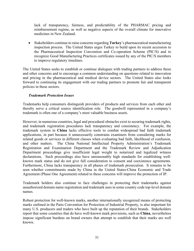lack of transparency, fairness, and predictability of the PHARMAC pricing and reimbursement regime, as well as negative aspects of the overall climate for innovative medicines in New Zealand.

• Stakeholders continue to raise concerns regarding **Turkey**'s pharmaceutical manufacturing inspection process. The United States urges Turkey to build upon its recent accession to the Pharmaceutical Inspection Convention and Co-operation Scheme (PIC/S) and to recognize Good Manufacturing Practices certificates issued by any of the PIC/S members to improve regulatory timelines.

The United States seeks to establish or continue dialogues with trading partners to address these and other concerns and to encourage a common understanding on questions related to innovation and pricing in the pharmaceutical and medical device sectors. The United States also looks forward to continuing its engagement with our trading partners to promote fair and transparent policies in these sectors.

# *Trademark Protection Issues*

Trademarks help consumers distinguish providers of products and services from each other and thereby serve a critical source identification role. The goodwill represented in a company's trademark is often one of a company's most valuable business assets.

However, in numerous countries, legal and procedural obstacles exist to securing trademark rights, and trademark registration procedures lack transparency and consistency. For example, the trademark system in **China** lacks effective tools to combat widespread bad faith trademark applications, in part because it unnecessarily constrains examiners from considering marks for related goods or services in different classes when evaluating bad faith, likelihood of confusion, and other matters. The China National Intellectual Property Administration's Trademark Registration and Examination Department and the Trademark Review and Adjudication Department proceedings give insufficient legal weight to notarized and legalized witness declarations. Such proceedings also have unreasonably high standards for establishing wellknown mark status and do not give full consideration to consent and coexistence agreements. Furthermore, China lacks transparency in all phases of trademark prosecution. It remains to be seen whether commitments made by China in the United States-China Economic and Trade Agreement (Phase One Agreement) related to these concerns will improve the protection of IP.

Trademark holders also continue to face challenges in protecting their trademarks against unauthorized domain name registration and trademark uses in some country code top-level domain names.

Robust protection for well-known marks, another internationally recognized means of protecting marks outlined in the Paris Convention for Protection of Industrial Property, is also important for many U.S. producers and traders who have built up the reputation of their brands. Stakeholders report that some countries that do have well-known mark provisions, such as **China**, nevertheless impose significant burdens on brand owners that attempt to establish that their marks are well known.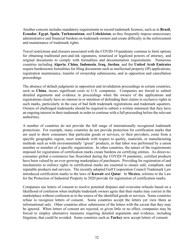Another concern includes mandatory requirements to record trademark licenses, such as in **Brazil**, **Ecuador**, **Egypt**, **Spain**, **Turkmenistan**, and **Uzbekistan**, as they frequently impose unnecessary administrative and financial burdens on trademark owners and create difficulty in the enforcement and maintenance of trademark rights.

Travel restrictions and closures associated with the COVID-19 pandemic continue to limit options for obtaining traditional pen-and-ink signatures, notarized or legalized powers of attorney, and original documents to comply with formalities and documentation requirements. Numerous countries including **Algeria**, **China**, **Indonesia**, **Iraq**, **Jordan**, and the **United Arab Emirates** require burdensome formalities for filing documents such as intellectual property (IP) applications, registration maintenance, transfer of ownership submissions, and in opposition and cancellation proceedings.

The absence of default judgments in opposition and invalidation proceedings in certain countries, such as **China**, incurs significant costs to U.S. companies. Companies are forced to submit detailed arguments and evidence in proceedings when the owners of the applications and registrations clearly have no interest in or intention of defending their claims to exclusive rights in such marks, particularly in the case of bad faith trademark registrations and trademark squatters. Owners of challenged trademarks should be required to submit a written statement that they have an ongoing interest in their trademark in order to continue with a full proceeding before the relevant authorities.

A number of countries do not provide the full range of internationally recognized trademark protections. For example, many countries do not provide protection for certification marks that are used to show consumers that particular goods or services, or their providers, come from a specific geographic region, meet standards with respect to quality, materials, or manufacturing methods such as with environmentally "green" products, or that labor was performed by a union member or member of a specific organization. In other countries, the nature of the requirements imposed for registration of certification marks create burdens on certifying entities. As direct-toconsumer global e-commerce has flourished during the COVID-19 pandemic, certified products have been valued by an ever-growing marketplace of purchasers. Providing for registration of and mechanisms to enforce rights in certification marks are essential to ensure safe, compliant, and reputable products and services. The recently adopted Gulf Cooperation Council Trademark Law introduced certification marks to the laws of **Kuwait** and **Qatar**. In **Mexico**, reforms to the Law for the Protection of Industrial Property in 2020 provide for registration of certification marks.

Companies use letters of consent to resolve potential disputes and overcome refusals based on a likelihood of confusion when multiple trademark owners agree that their marks may coexist in the marketplace without confusion as to the source of the identified goods or services. Some countries refuse to recognize letters of consent. Some countries accept the letters yet view them as informational only. Other countries allow submission of the letters with the caveat that they may be ignored. When letters of consent are rejected, or given little or no effect, companies may be forced to employ alternative measures requiring detailed arguments and evidence, including litigation, that could be avoided. Some countries such as **Turkey** now accept letters of consent.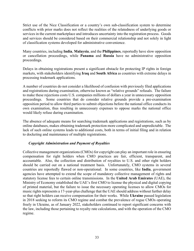Strict use of the Nice Classification or a country's own sub-classification system to determine conflicts with prior marks does not reflect the realities of the relatedness of underlying goods or services in the current marketplace and introduces uncertainty into the registration process. Goods and services should be considered based on their commercial relationship and not solely in light of classification systems developed for administrative convenience.

Many countries, including **India**, **Malaysia**, and the **Philippines**, reportedly have slow opposition or cancellation proceedings, while **Panama** and **Russia** have no administrative opposition proceedings.

Delays in obtaining registrations present a significant obstacle for protecting IP rights in foreign markets, with stakeholders identifying **Iraq** and **South Africa** as countries with extreme delays in processing trademark applications.

A number of countries do not consider a likelihood of confusion with previously filed applications and registrations during examination, otherwise known as "relative grounds" refusals. The failure to make these rejections costs U.S. companies millions of dollars a year in unnecessary opposition proceedings. Some countries that do consider relative grounds provide a pre-examination opposition period to allow third parties to submit objections before the national office conducts its own examination, thus resulting in unnecessary expenses to oppose marks the national office would likely refuse during examination.

The absence of adequate means for searching trademark applications and registrations, such as by online databases, makes obtaining trademark protection more complicated and unpredictable. The lack of such online systems leads to additional costs, both in terms of initial filing and in relation to docketing and maintenance of multiple registrations.

# *Copyright Administration and Payment of Royalties*

Collective management organizations (CMOs) for copyright can play an important role in ensuring compensation for right holders when CMO practices are fair, efficient, transparent, and accountable. Also, the collection and distribution of royalties to U.S. and other right holders should be carried out on a national treatment basis. Unfortunately, CMO systems in several countries are reportedly flawed or non-operational. In some countries, like **India**, government agencies have attempted to extend the scope of mandatory collective management of rights and statutory license fees to certain online transmissions. In the **United Arab Emirates** (UAE), the Ministry of Economy established the UAE's first CMO to license the physical and digital copying of printed material, but the failure to issue the necessary operating licenses to allow CMOs for music rights represents a 17-year-plus challenge that the UAE should address without further delay so that right holders can receive compensation for their works. While **Ukraine** passed legislation in 2018 seeking to reform its CMO regime and combat the prevalence of rogue CMOs operating freely in Ukraine, as of January 2022, stakeholders continued to report significant concerns with the law, including those pertaining to royalty rate calculations, and with the operation of the CMO regime.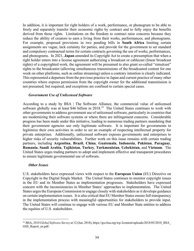In addition, it is important for right holders of a work, performance, or phonogram to be able to freely and separately transfer their economic rights by contract and to fully enjoy the benefits derived from those rights. Limitations on the freedom to contract raise concerns because they reduce the ability of creators to earn a living from their works, performances, and phonograms. For example, proposed provisions in two pending bills in **South Africa** limiting certain assignments are vague, lack certainty for parties, and provide for the government to set standard and compulsory contractual terms for certain contracts governing the use of works, performances, and phonograms. In 2021, **Japan** amended its Copyright Act to create a presumption that when a right holder enters into a license agreement authorizing a broadcast or cablecast (linear broadcast rights) of a copyrighted work, the agreement will be presumed to also grant so-called "simulcast" rights to the broadcaster (allowing simultaneous transmissions of the broadcasted content for one week on other platforms, such as online streaming) unless a contrary intention is clearly indicated. This represented a departure from the previous practice in Japan and current practice of many other countries where express permission from the copyright owner for the additional transmission is not presumed, but required, and exceptions are confined to certain special cases.

#### *Government Use of Unlicensed Software*

According to a study by BSA | The Software Alliance, the commercial value of unlicensed software globally was at least \$46 billion in 2018.<sup>[31](#page-33-0)</sup> The United States continues to work with other governments to address government use of unlicensed software, particularly in countries that are modernizing their software systems or where there are infringement concerns. Considerable progress has been made under this initiative, leading to numerous trading partners mandating that their government agencies use only legitimate software. It is important for governments to legitimize their own activities in order to set an example of respecting intellectual property for private enterprises. Additionally, unlicensed software exposes governments and enterprises to higher risks of security vulnerabilities. Further work on this issue remains with certain trading partners, including **Argentina**, **Brazil**, **China**, **Guatemala**, **Indonesia**, **Pakistan**, **Paraguay**, **Romania**, **Saudi Arabia**, **Tajikistan**, **Turkey**, **Turkmenistan**, **Uzbekistan**, and **Vietnam**. The United States urges trading partners to adopt and implement effective and transparent procedures to ensure legitimate governmental use of software.

#### *Other Issues*

U.S. stakeholders have expressed views with respect to the **European Union** (EU) Directive on Copyright in the Digital Single Market. The United States continues to monitor copyright issues in the EU and its Member States as implementation progresses. Stakeholders have expressed concern with the inconsistencies in Member States' approaches to implementation. The United States urges the European Commission to engage closely with stakeholders as it develops guidance on certain implementation issues. It is also critical that EU Member States ensure full transparency in the implementation process with meaningful opportunities for stakeholders to provide input. The United States will continue to engage with various EU and Member State entities to address the equities of U.S. stakeholders.

<span id="page-33-0"></span><sup>&</sup>lt;sup>31</sup> BSA, 2018 Global Software Survey at 12 (Jun. 2018), https://gss.bsa.org/wp-2content/uploads/2018/05/2018\_BSA GSS Report en.pdf.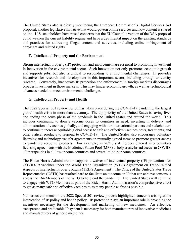The United States also is closely monitoring the European Commission's Digital Services Act proposal, another legislative initiative that would govern online services and how content is shared online. U.S. stakeholders have raised concerns that the EU Council's version of the DSA proposal could weaken the current liability regime and have a detrimental impact on the existing standards and practices for addressing illegal content and activities, including online infringement of copyright and related rights.

# **F. Intellectual Property and the Environment**

Strong intellectual property (IP) protection and enforcement are essential to promoting investment in innovation in the environmental sector. Such innovation not only promotes economic growth and supports jobs, but also is critical to responding to environmental challenges. IP provides incentives for research and development in this important sector, including through university research. Conversely, inadequate IP protection and enforcement in foreign markets discourages broader investment in those markets. This may hinder economic growth, as well as technological advances needed to meet environmental challenges.

# **G. Intellectual Property and Health**

The 2022 Special 301 review period has taken place during the COVID-19 pandemic, the largest global health crisis in more than a century. The top priority of the United States is saving lives and ending the acute phase of the pandemic in the United States and around the world. This includes continuing to donate vaccine doses to countries in need, investing in delivery and administration of vaccines globally, and engaging with our international partners and stakeholders to continue to increase equitable global access to safe and effective vaccines, tests, treatments, and other critical products to respond to COVID-19. The United States also encourages voluntary licensing and technology transfer agreements on mutually agreed terms to promote greater access to pandemic response products. For example, in 2021, stakeholders entered into voluntary licensing agreements with the Medicines Patent Pool (MPP) to help create broad access to COVID-19 therapeutics in all low-income countries and several middle-income countries.

The Biden-Harris Administration supports a waiver of intellectual property (IP) protections for COVID-19 vaccines under the World Trade Organization (WTO) Agreement on Trade-Related Aspects of Intellectual Property Rights (TRIPS Agreement). The Office of the United States Trade Representative (USTR) has worked hard to facilitate an outcome on IP that can achieve consensus across the 164 Members of the WTO to help end the pandemic. The United States will continue to engage with WTO Members as part of the Biden-Harris Administration's comprehensive effort to get as many safe and effective vaccines to as many people as fast as possible.

Numerous comments in the 2022 Special 301 review process highlighted concerns arising at the intersection of IP policy and health policy. IP protection plays an important role in providing the incentives necessary for the development and marketing of new medicines. An effective, transparent, and predictable IP system is necessary for both manufacturers of innovative medicines and manufacturers of generic medicines.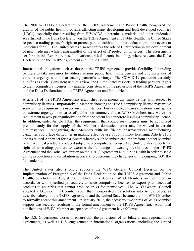The 2001 WTO Doha Declaration on the TRIPS Agreement and Public Health recognized the gravity of the public health problems afflicting many developing and least-developed countries (LDCs), especially those resulting from HIV/AIDS, tuberculosis, malaria, and other epidemics. As affirmed in the Doha Declaration on the TRIPS Agreement and Public Health, the United States respects a trading partner's right to protect public health and, in particular, to promote access to medicines for all. The United States also recognizes the role of IP protection in the development of new medicines while being mindful of the effect of IP protection on prices. The assessments set forth in this Report are based on various critical factors, including, where relevant, the Doha Declaration on the TRIPS Agreement and Public Health.

International obligations such as those in the TRIPS Agreement provide flexibility for trading partners to take measures to address serious public health emergencies and circumstances of extreme urgency within that trading partner's territory. The COVID-19 pandemic certainly qualifies as such. Consistent with this view, the United States respects its trading partners' rights to grant compulsory licenses in a manner consistent with the provisions of the TRIPS Agreement and the Doha Declaration on the TRIPS Agreement and Public Health.

Article 31 of the TRIPS Agreement establishes requirements that must be met with respect to compulsory licenses. Importantly, a Member choosing to issue a compulsory license may waive some of these requirements in certain circumstances. For example, in cases of national emergency or extreme urgency or in cases of public non-commercial use, WTO Members may waive the requirement to seek prior authorization from the patent holder before issuing a compulsory license. In addition, under Article 31bis, the requirement that compulsory licenses must be authorized predominantly for the supply of the Member's domestic market may be waived in certain circumstances. Recognizing that Members with insufficient pharmaceutical manufacturing capacities could face difficulties in making effective use of compulsory licensing, Article 31bis and its related Annex set forth a system whereby such Members can import from another Member pharmaceutical products produced subject to a compulsory license. The United States respects the right of its trading partners to exercise the full range of existing flexibilities in the TRIPS Agreement and the Doha Declaration on the TRIPS Agreement and Public Health in order to scale up the production and distribution necessary to overcome the challenges of the ongoing COVID-19 pandemic.

The United States also strongly supports the WTO General Council Decision on the Implementation of Paragraph 6 of the Doha Declaration on the TRIPS Agreement and Public Health, concluded in August 2003. Under this decision, WTO Members are permitted, in accordance with specified procedures, to issue compulsory licenses to export pharmaceutical products to countries that cannot produce drugs for themselves. The WTO General Council adopted a Decision in December 2005 that incorporated this solution into Article 31bis, as described above, to the TRIPS Agreement, and the United States became the first WTO Member to formally accept this amendment. In January 2017, the necessary two-thirds of WTO Member support was secured, resulting in the formal amendment to the TRIPS Agreement. Additional notifications of WTO Member acceptances of the Agreement have followed.

The U.S. Government works to ensure that the provisions of its bilateral and regional trade agreements, as well as U.S. engagement in international organizations, including the United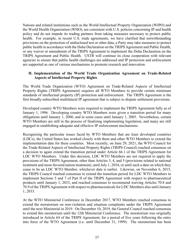Nations and related institutions such as the World Intellectual Property Organization (WIPO) and the World Health Organization (WHO), are consistent with U.S. policies concerning IP and health policy and do not impede its trading partners from taking measures necessary to protect public health. For example, in recent U.S. trade agreements, we have clarified that notwithstanding provisions on the protection of undisclosed test or other data, a Party may take measures to protect public health in accordance with the Doha Declaration on the TRIPS Agreement and Public Health, or any waiver or amendment of the TRIPS Agreement to implement the Doha Declaration on the TRIPS Agreement and Public Health. USTR will continue its close cooperation with relevant agencies to ensure that public health challenges are addressed and IP protection and enforcement are supported as one of various mechanisms to promote research and innovation.

#### **H. Implementation of the World Trade Organization Agreement on Trade-Related Aspects of Intellectual Property Rights**

The World Trade Organization (WTO) Agreement on Trade-Related Aspects of Intellectual Property Rights (TRIPS Agreement) requires all WTO Members to provide certain minimum standards of intellectual property (IP) protection and enforcement. The TRIPS Agreement is the first broadly-subscribed multilateral IP agreement that is subject to dispute settlement provisions.

Developed country WTO Members were required to implement the TRIPS Agreement fully as of January 1, 1996. Developing country WTO Members were given a transition period for many obligations until January 1, 2000, and in some cases until January 1, 2005. Nevertheless, certain WTO Members are still in the process of finalizing implementing legislation, and many are still engaged in establishing adequate and effective IP enforcement mechanisms.

Recognizing the particular issues faced by WTO Members that are least developed countries (LDCs), the United States has worked closely with them and other WTO Members to extend the implementation date for these countries. Most recently, on June 29, 2021, the WTO Council for the Trade-Related Aspects of Intellectual Property Rights (TRIPS Council) reached consensus on a decision to again extend the transition period under Article 66.1 of the TRIPS Agreement for LDC WTO Members. Under this decision, LDC WTO Members are not required to apply the provisions of the TRIPS Agreement, other than Articles 3, 4, and 5 (provisions related to national treatment and most-favored nation treatment), until July 1, 2034, or until such a date on which they cease to be an LDC WTO Member, whichever date is earlier. Likewise, on November 6, 2015, the TRIPS Council reached consensus to extend the transition period for LDC WTO Members to implement Sections 5 and 7 of Part II of the TRIPS Agreement with respect to pharmaceutical products until January 1, 2033, and reached consensus to recommend waiving Articles 70.8 and 70.9 of the TRIPS Agreement with respect to pharmaceuticals for LDC Members also until January 1, 2033.

At the WTO Ministerial Conference in December 2017, WTO Members reached consensus to extend the moratorium on non-violation and situation complaints under the TRIPS Agreement until the next Ministerial in 2019. On December 10, 2019, the General Council reached consensus to extend this moratorium until the 12th Ministerial Conference. The moratorium was originally introduced in Article 64 of the TRIPS Agreement, for a period of five years following the entry into force of the WTO Agreement (i.e. until December 31, 1999). The moratorium has been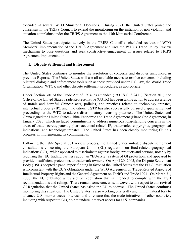extended in several WTO Ministerial Decisions. During 2021, the United States joined the consensus in the TRIPS Council to extend the moratorium on the initiation of non-violation and situation complaints under the TRIPS Agreement to the 13th Ministerial Conference.

The United States participates actively in the TRIPS Council's scheduled reviews of WTO Members' implementation of the TRIPS Agreement and uses the WTO's Trade Policy Review mechanism to pose questions and seek constructive engagement on issues related to TRIPS Agreement implementation.

#### **I. Dispute Settlement and Enforcement**

The United States continues to monitor the resolution of concerns and disputes announced in previous Reports. The United States will use all available means to resolve concerns, including bilateral dialogue and enforcement tools such as those provided under U.S. law, the World Trade Organization (WTO), and other dispute settlement procedures, as appropriate.

Under Section 301 of the Trade Act of 1974, as amended (19 U.S.C. § 2411) (Section 301), the Office of the United States Trade Representative (USTR) has been taking action to address a range of unfair and harmful Chinese acts, policies, and practices related to technology transfer, intellectual property (IP), and innovation. USTR has also successfully pursued dispute settlement proceedings at the WTO to address discriminatory licensing practices. The United States and China signed the United States-China Economic and Trade Agreement (Phase One Agreement) in January 2020, which included commitments to address numerous long-standing concerns in the areas of trade secrets, patents, pharmaceutical-related IP, trademarks, copyrights, geographical indications, and technology transfer. The United States has been closely monitoring China's progress in implementing its commitments.

Following the 1999 Special 301 review process, the United States initiated dispute settlement consultations concerning the European Union (EU) regulation on food-related geographical indications (GIs), which appeared to discriminate against foreign products and persons, notably by requiring that EU trading partners adopt an "EU-style" system of GI protection, and appeared to provide insufficient protections to trademark owners. On April 20, 2005, the Dispute Settlement Body (DSB) adopted a panel report finding in favor of the United States that the EU GI regulation is inconsistent with the EU's obligations under the WTO Agreement on Trade-Related Aspects of Intellectual Property Rights and the General Agreement on Tariffs and Trade 1994. On March 31, 2006, the EU published a revised GI Regulation that is intended to comply with the DSB recommendations and rulings. There remain some concerns, however, with respect to this revised GI Regulation that the United States has asked the EU to address. The United States continues monitoring this situation. The United States is also working bilaterally and in multilateral fora to advance U.S. market access interests and to ensure that the trade initiatives of other countries, including with respect to GIs, do not undercut market access for U.S. companies.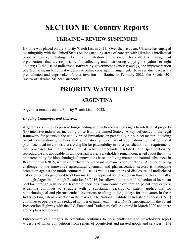# **SECTION II: Country Reports**

# **UKRAINE – REVIEW SUSPENDED**

Ukraine was placed on the Priority Watch List in 2021. Over the past year, Ukraine has engaged meaningfully with the United States on longstanding areas of concern with Ukraine's intellectual property regime, including: (1) the administration of the system for collective management organizations that are responsible for collecting and distributing copyright royalties to right holders; (2) the use of unlicensed software by government agencies; and (3) the implementation of effective means to combat widespread online copyright infringement. However, due to Russia's premeditated and unprovoked further invasion of Ukraine in February 2022, the Special 301 review of Ukraine has been suspended.

# **PRIORITY WATCH LIST**

# **ARGENTINA**

Argentina remains on the Priority Watch List in 2022.

#### *Ongoing Challenges and Concerns*

Argentina continues to present long-standing and well-known challenges to intellectual property (IP)-intensive industries, including those from the United States. A key deficiency in the legal framework for patents is the unduly broad limitations on patent-eligible subject matter, including patent examination guidelines that automatically reject patent applications for categories of pharmaceutical inventions that are eligible for patentability in other jurisdictions and requirements that processes for the manufacture of active compounds disclosed in a specification be reproducible and applicable on an industrial scale. Stakeholders remain concerned about the limits on patentability for biotechnological innovations based on living matter and natural substances in Resolution 283/2015, which differ from the standard in many other countries. Another ongoing challenge to the innovative agricultural chemical and pharmaceutical sectors is inadequate protection against the unfair commercial use, as well as unauthorized disclosure, of undisclosed test or other data generated to obtain marketing approval for products in those sectors. Finally, although Argentina, through Resolution 56/2016, has allowed for a partial reduction of its patent backlog through reliance on favorable decisions from counterpart foreign patent applications, Argentina continues to struggle with a substantial backlog of patent applications for biotechnological and pharmaceutical inventions resulting in long delays for innovators in these fields seeking patent protection in the market. The National Institute of Industrial Property (INPI) continues to operate with a reduced number of patent examiners. INPI's participation in the Patent Prosecution Highway with the U.S. Patent and Trademark Office expired in March 2020 and there are no plans for renewal.

Enforcement of IP rights in Argentina continues to be a challenge, and stakeholders report widespread unfair competition from sellers of counterfeit and pirated goods and services. The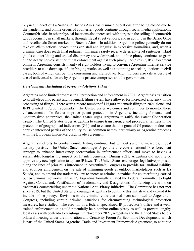physical market of La Salada in Buenos Aires has resumed operations after being closed due to the pandemic, and online orders of counterfeit goods continue through social media applications. Counterfeit sales in other physical locations also increased, with surges in the selling of counterfeit goods occurring in small markets, through illegal street vendors, and in activity in the Barrio Once and Avellaneda Street markets in Buenos Aires. In addition, Argentine police generally do not take *ex officio* actions, prosecutions can stall and languish in excessive formalities, and, when a criminal case does reach final judgment, infringers rarely receive deterrent-level sentences. Hard goods counterfeiting and optical disc piracy are widespread, and online piracy continues to grow due to nearly non-existent criminal enforcement against such piracy. As a result, IP enforcement online in Argentina consists mainly of right holders trying to convince Argentine Internet service providers to take down specific infringing works, as well as attempting to seek injunctions in civil cases, both of which can be time consuming and ineffective. Right holders also cite widespread use of unlicensed software by Argentine private enterprises and the government.

#### *Developments, Including Progress and Actions Taken*

Argentina made limited progress in IP protection and enforcement in 2021. Argentina's transition to an all-electronic patent and trademark filing system have allowed for increased efficiency in the processing of filings. There were a record number of 115,000 trademark filings in 2021 alone, and INPI granted 117,800 trademarks. The United States welcomes and continues to monitor these enhancements. To further improve patent protection in Argentina, including for small and medium-sized enterprises, the United States urges Argentina to ratify the Patent Cooperation Treaty. The United States urges Argentina to ensure transparency and procedural fairness in the protection of geographical indications (GIs) and to ensure that the grant of GI protection does not deprive interested parties of the ability to use common names, particularly as Argentina proceeds with the European Union-Mercosur Trade agreement.

Argentina's efforts to combat counterfeiting continue, but without systemic measures, illegal activity persists. The United States encourages Argentina to create a national IP enforcement strategy to enhance interagency coordination in enforcement efforts and move to having a sustainable, long-lasting impact on IP infringements. During 2021, Argentina did not file or approve any new legislation to update IP laws. The United States encourages legislative proposals along the lines of prior bills introduced in Argentina's Congress to provide for landlord liability and stronger enforcement on the sale of infringing goods at outdoor marketplaces such as La Salada, and to amend the trademark law to increase criminal penalties for counterfeiting carried out by criminal networks. In 2017, Argentina formally created the Federal Committee to Fight Against Contraband, Falsification of Trademarks, and Designations, formalizing the work on trademark counterfeiting under the National Anti-Piracy Initiative. The Committee has not met since 2019, but the United States encourages Argentina to continue this initiative and expand it to include online piracy. Revisions to the criminal code that had been submitted to Argentina's Congress, including certain criminal sanctions for circumventing technological protection measures, have stalled. The creation of a federal specialized IP prosecutor's office and a welltrained enforcement unit could potentially help combat online piracy as well as prevent lengthy legal cases with contradictory rulings. In November 2021, Argentina and the United States held a bilateral meeting under the Innovation and Creativity Forum for Economic Development, which is part of the United States-Argentina Trade and Investment Framework Agreement, to continue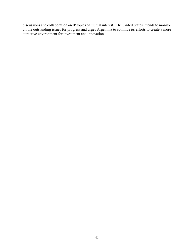discussions and collaboration on IP topics of mutual interest. The United States intends to monitor all the outstanding issues for progress and urges Argentina to continue its efforts to create a more attractive environment for investment and innovation.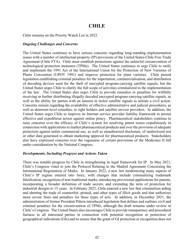# **CHILE**

Chile remains on the Priority Watch List in 2022.

#### *Ongoing Challenges and Concerns*

The United States continues to have serious concerns regarding long-standing implementation issues with a number of intellectual property (IP) provisions of the United States-Chile Free Trade Agreement (Chile FTA). Chile must establish protections against the unlawful circumvention of technological protection measures (TPMs). The United States continues to urge Chile to ratify and implement the 1991 Act of the International Union for the Protection of New Varieties of Plants Convention (UPOV 1991) and improve protection for plant varieties. Chile passed legislation establishing criminal penalties for the importation, commercialization, and distribution of decoding devices used for the theft of encrypted program-carrying satellite signals, but the United States urges Chile to clarify the full scope of activities criminalized in the implementation of the law. The United States also urges Chile to provide remedies or penalties for willfully receiving or further distributing illegally decoded encrypted program-carrying satellite signals, as well as the ability for parties with an interest in stolen satellite signals to initiate a civil action. Concerns remain regarding the availability of effective administrative and judicial procedures, as well as deterrent-level remedies, to right holders and satellite service providers. In addition, the United States urges Chile to improve its Internet service provider liability framework to permit effective and expeditious action against online piracy. Pharmaceutical stakeholders continue to raise concerns over the efficacy of Chile's system for resolving patent issues expeditiously in connection with applications to market pharmaceutical products and over the provision of adequate protection against unfair commercial use, as well as unauthorized disclosure, of undisclosed test or other data generated to obtain marketing approval for pharmaceutical products. Stakeholders also have expressed concerns over the vagueness of certain provisions of the Medicines II bill under consideration by the National Congress.

#### *Developments, Including Progress and Actions Taken*

There was notable progress by Chile in strengthening its legal framework for IP. In May 2021, Chile's Congress voted to join the Protocol Relating to the Madrid Agreement Concerning the International Registration of Marks. In January 2022, a new law modernizing many aspects of Chile's IP regime entered into force, with changes that include criminalizing trademark falsification, recognition of non-traditional marks, introducing provisional applications for patents, incorporating a broader definition of trade secrets, and extending the term of protection for industrial designs to 15 years. In February 2022, Chile enacted a new law that criminalizes aiding and abetting the trade of counterfeit, pirated, and other types of illicit goods and that authorizes more severe fines and penalties for these types of acts. In addition, in December 2021, the administration of former President Piñera introduced legislation that defines and outlines civil and criminal penalties for the circumvention of TPMs, although the draft remains under review in Chile's Congress. The United States also encourages Chile to provide transparency and procedural fairness to all interested parties in connection with potential recognition or protection of geographical indications (GIs) and to ensure that the grant of GI protection or recognition does not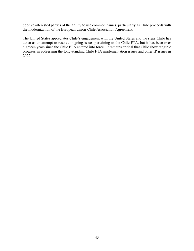deprive interested parties of the ability to use common names, particularly as Chile proceeds with the modernization of the European Union-Chile Association Agreement.

The United States appreciates Chile's engagement with the United States and the steps Chile has taken as an attempt to resolve ongoing issues pertaining to the Chile FTA, but it has been over eighteen years since the Chile FTA entered into force. It remains critical that Chile show tangible progress in addressing the long-standing Chile FTA implementation issues and other IP issues in 2022.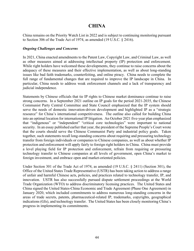# **CHINA**

China remains on the Priority Watch List in 2022 and is subject to continuing monitoring pursuant to Section 306 of the Trade Act of 1974, as amended (19 U.S.C. § 2416).

#### *Ongoing Challenges and Concerns*

In 2021, China enacted amendments to the Patent Law, Copyright Law, and Criminal Law, as well as other measures aimed at addressing intellectual property (IP) protection and enforcement. While right holders have welcomed these developments, they continue to raise concerns about the adequacy of these measures and their effective implementation, as well as about long-standing issues like bad faith trademarks, counterfeiting, and online piracy. China needs to complete the full range of fundamental changes that are required to improve the IP landscape in China. In particular, China needs to address weak enforcement channels and a lack of transparency and judicial independence.

Statements by Chinese officials that tie IP rights to Chinese market dominance continue to raise strong concerns. In a September 2021 outline on IP goals for the period 2021-2035, the Chinese Communist Party Central Committee and State Council emphasized that the IP system should serve the needs of domestic innovation-driven development and highlighted IP as a "strategic resource" for China's international competitiveness. The outline also called for building China into an optimal location for international IP litigation. An October 2021 five-year plan emphasized that "indigenous" or "independent" "critical core technologies" were important to national security. In an essay published earlier that year, the president of the Supreme People's Court wrote that the courts should serve the Chinese Communist Party and industrial policy goals. Taken together, such statements recall long-standing concerns about requiring and pressuring technology transfer from foreign individuals or companies to Chinese companies, as well as about whether IP protection and enforcement will apply fairly to foreign right holders in China. China must provide a level playing field for IP protection and enforcement, refrain from requiring or pressuring technology transfer to Chinese companies at all levels of government, open China's market to foreign investment, and embrace open and market-oriented policies.

Under Section 301 of the Trade Act of 1974, as amended (19 U.S.C. § 2411) (Section 301), the Office of the United States Trade Representative (USTR) has been taking action to address a range of unfair and harmful Chinese acts, policies, and practices related to technology transfer, IP, and innovation. USTR has also successfully pursued dispute settlement proceedings at the World Trade Organization (WTO) to address discriminatory licensing practices. The United States and China signed the United States-China Economic and Trade Agreement (Phase One Agreement) in January 2020, which included commitments to address numerous long-standing concerns in the areas of trade secrets, patents, pharmaceutical-related IP, trademarks, copyrights, geographical indications (GIs), and technology transfer. The United States has been closely monitoring China's progress in implementing its commitments.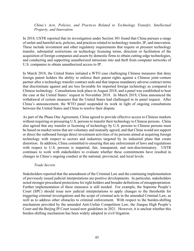#### *China's Acts, Policies, and Practices Related to Technology Transfer, Intellectual Property, and Innovation*

In 2018, USTR reported that its investigation under Section 301 found that China pursues a range of unfair and harmful acts, policies, and practices related to technology transfer, IP, and innovation. These include investment and other regulatory requirements that require or pressure technology transfer, substantial restrictions on technology licensing terms, direction or facilitation of the acquisition of foreign companies and assets by domestic firms to obtain cutting-edge technologies, and conducting and supporting unauthorized intrusions into and theft from computer networks of U.S. companies to obtain unauthorized access to IP.

In March 2018, the United States initiated a WTO case challenging Chinese measures that deny foreign patent holders the ability to enforce their patent rights against a Chinese joint-venture partner after a technology transfer contract ends and that impose mandatory adverse contract terms that discriminate against and are less favorable for imported foreign technology as compared to Chinese technology. Consultations took place in August 2018, and a panel was established to hear the case at the United States' request in November 2018. In March 2019, China announced the withdrawal of certain measures that the United States had challenged in its panel request. After China's announcement, the WTO panel suspended its work in light of ongoing consultations between the United States and China to resolve their dispute.

As part of the Phase One Agreement, China agreed to provide effective access to Chinese markets without requiring or pressuring U.S. persons to transfer their technology to Chinese persons. China also agreed that any transfer or licensing of technology by U.S. persons to Chinese persons must be based on market terms that are voluntary and mutually agreed, and that China would not support or direct the outbound foreign direct investment activities of its persons aimed at acquiring foreign technology with respect to sectors and industries targeted by its industrial plans that create distortion. In addition, China committed to ensuring that any enforcement of laws and regulations with respect to U.S. persons is impartial, fair, transparent, and non-discriminatory. USTR continues to work with stakeholders to evaluate whether these commitments have resulted in changes in China's ongoing conduct at the national, provincial, and local levels.

#### *Trade Secrets*

Stakeholders reported that the amendment of the Criminal Law and the continuing implementation of previously issued judicial interpretations are positive developments. In particular, stakeholders noted stronger procedural protections for right holders and broader definitions of misappropriation. Further implementation of these measures is still needed. For example, the Supreme People's Court (SPC) should issue new judicial interpretations to apply changes to the thresholds for triggering criminal investigations and the scope of criminal acts in the amended Criminal Law, as well as to address other obstacles to criminal enforcement. With respect to the burden-shifting mechanism provided by the amended Anti-Unfair Competition Law, the Jiangsu High People's Court and the Beijing IP Court issued new guidelines in 2021. However, it is unclear whether this burden-shifting mechanism has been widely adopted in civil litigation.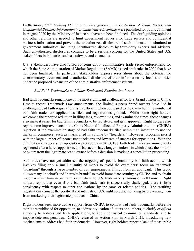Furthermore, draft *Guiding Opinions on Strengthening the Protection of Trade Secrets and Confidential Business Information in Administrative Licensing* were published for public comment in August 2020 by the Ministry of Justice but have not been finalized. The draft guiding opinions and other reforms are needed to limit government requests for trade secrets and confidential business information and prevent the unauthorized disclosure of such information submitted to government authorities, including unauthorized disclosure by third-party experts and advisors. Such unauthorized disclosures continue to be a serious concern for the United States and U.S. stakeholders in industries such as software and cosmetics.

U.S. stakeholders have also raised concerns about administrative trade secret enforcement, for which the State Administration of Market Regulation (SAMR) issued draft rules in 2020 that have not been finalized. In particular, stakeholders express reservations about the potential for discriminatory treatment and unauthorized disclosure of their information by local authorities under the proposed expansion of the administrative enforcement system.

#### *Bad Faith Trademarks and Other Trademark Examination Issues*

Bad faith trademarks remain one of the most significant challenges for U.S. brand owners in China. Despite recent Trademark Law amendments, the limited success brand owners have had in challenging bad faith registrations is insufficient when compared to the overwhelming number of bad faith trademark applications filed and registrations granted. While some right holders welcomed the reported reduction in filing fees, review times, and examination times, these changes also make it easier for bad faith trademarks to be registered and gain approval. Right holders also report some improvements in the China National Intellectual Property Administration's (CNIPA) rejection at the examination stage of bad faith trademarks filed without an intention to use the marks in commerce, such as marks filed in volume by "hoarders." However, problems persist with the large number of inconsistent decisions and low rate of success for oppositions. With the elimination of appeals for opposition procedures in 2013, bad faith trademarks are immediately registered after a failed opposition, and bad actors have longer windows in which to use their marks or extort from the legitimate brand owner before a decision is made in a cancellation proceeding.

Authorities have not yet addressed the targeting of specific brands by bad faith actors, which involves filing only a small quantity of marks to avoid the examiners' focus on trademark "hoarding" through a large number of contemporaneous filings from an applicant. This tactic allows many knockoffs and "parasite brands" to avoid immediate scrutiny by CNIPA and to obtain trademarks in China in bad faith, even when the U.S. trademark is famous or well known. Right holders report that even if one bad faith trademark is successfully challenged, there is little consistency with respect to other applications by the same or related entities. The resulting registrations damage the goodwill and interests of U.S. right holders, including by preventing them from marketing their legitimate products in China.

Right holders seek more active support from CNIPA to combat bad faith trademarks before the marks are published for opposition, to address stylization of letters or numbers, to clarify *ex officio* authority to address bad faith applications, to apply consistent examination standards, and to impose deterrent penalties. CNIPA released an Action Plan in March 2021, introducing new mechanisms to address bad faith trademarks. However, right holders report a lack of measurable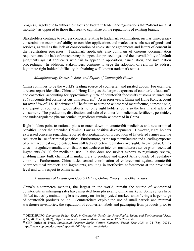progress, largely due to authorities' focus on bad faith trademark registrations that "offend socialist morality" as opposed to those that seek to capitalize on the reputations of existing brands.

Stakeholders continue to express concerns relating to trademark examination, such as unnecessary constraints on examiners' ability to consider applications and marks across classes of goods and services, as well as the lack of consideration of co-existence agreements and letters of consent in the registration processes. Trademark applicants also complain of onerous documentation requirements, the lack of transparency in opposition proceedings, and the unavailability of default judgments against applicants who fail to appear in opposition, cancellation, and invalidation proceedings. In addition, stakeholders continue to urge the adoption of reforms to address legitimate right holders' difficulty in obtaining well-known trademark status.

#### *Manufacturing, Domestic Sale, and Export of Counterfeit Goods*

China continues to be the world's leading source of counterfeit and pirated goods. For example, a recent report identified China and Hong Kong as the largest exporters of counterfeit foodstuffs and cosmetics, accounting for approximately 60% of counterfeit foodstuffs customs seizures and 83% of counterfeit cosmetics customs seizures.<sup>32</sup> As in prior years, China and Hong Kong account for over 83% of U.S. IP seizures.<sup>33</sup> The failure to curb the widespread manufacture, domestic sale, and export of counterfeit goods affects not only right holders, but also the health and safety of consumers. The production, distribution, and sale of counterfeit medicines, fertilizers, pesticides, and under-regulated pharmaceutical ingredients remain widespread in China.

Right holders point to national plans to crack down on counterfeit medicines and new criminal penalties under the amended Criminal Law as positive developments. However, right holders expressed concerns regarding reported deprioritization of prosecution of IP-related crimes and the reduction in use of criminal penalties. Furthermore, as the top manufacturer and a leading exporter of pharmaceutical ingredients, China still lacks effective regulatory oversight. In particular, China does not regulate manufacturers that do not declare an intent to manufacture active pharmaceutical ingredients (APIs) for medicinal use. It also does not subject exports to regulatory review, enabling many bulk chemical manufacturers to produce and export APIs outside of regulatory controls. Furthermore, China lacks central coordination of enforcement against counterfeit pharmaceutical products and ingredients, resulting in ineffective enforcement at the provincial level and with respect to online sales.

#### *Availability of Counterfeit Goods Online, Online Piracy, and Other Issues*

China's e-commerce markets, the largest in the world, remain the source of widespread counterfeits as infringing sales have migrated from physical to online markets. Some sellers have shifted tactics by maintaining less inventory on site in physical markets and offering a larger range of counterfeit products online. Counterfeiters exploit the use of small parcels and minimal warehouse inventories, the separation of counterfeit labels and packaging from products prior to

<span id="page-46-0"></span><sup>32</sup> OECD/EUIPO, *Dangerous Fakes: Trade in Counterfeit Goods that Pose Health, Safety, and Environmental Risks* at 68, 70 (Mar. 9, 2022), https://www.oecd.org/social/dangerous-fakes-117e352b-en.htm.

<span id="page-46-1"></span><sup>33</sup> CBP Office of Trade, *Intellectual Property Rights Seizure Statistics: Fiscal Year 2020* at 24 (Sep. 2021), https://www.cbp.gov/document/report/fy-2020-ipr-seizure-statistics.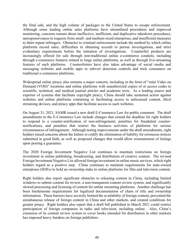the final sale, and the high volume of packages to the United States to escape enforcement. Although some leading online sales platforms have streamlined procedures and improved monitoring, concerns remain about ineffective, inefficient, and duplicative takedown procedures, unresponsiveness to requests from small- and medium-sized enterprises, and insufficient measures to deter repeat infringers. Obstacles to criminal enforcement include the method by which online platforms record sales, difficulties in obtaining records to pursue investigations, and strict evidentiary requirements before the initiation of investigations. Counterfeit products are increasingly offered for sale through non-traditional online e-commerce conduits, including through e-commerce features related to large online platforms, as well as through live-streaming features of such platforms. Counterfeiters have also taken advantage of social media and messaging websites and mobile apps to subvert detection controls and trick consumers on traditional e-commerce platforms.

Widespread online piracy also remains a major concern, including in the form of "mini Video on Demand (VOD)" locations and online platforms with unauthorized copies of or access codes to scientific, technical, and medical journal articles and academic texts. As a leading source and exporter of systems that facilitate copyright piracy, China should take sustained action against websites and online platforms containing or facilitating access to unlicensed content, illicit streaming devices, and piracy apps that facilitate access to such websites.

On August 31, 2021, SAMR issued a new draft E-Commerce Law for public comment. The draft amendments to the E-Commerce Law include changes that extend the deadline for right holders to respond to a counter-notification of non-infringement, penalties for fraudulent counternotifications, and penalties that restrict the business activities of platforms for serious circumstances of infringement. Although noting improvements under the draft amendments, right holders raised concerns about the failure to codify the elimination of liability for erroneous notices submitted in good faith, as well as proposed changes that would allow reinstatement of listings upon posting a guarantee.

The 2020 Foreign Investment Negative List continues to maintain restrictions on foreign investment in online publishing, broadcasting, and distribution of creative content. The revised Foreign Investment Negative List allowed foreign investment in online music services, which right holders regard as a positive step. China continues to maintain requirements for state-owned enterprises (SOEs) to hold an ownership stake in online platforms for film and television content.

Right holders also report significant obstacles to releasing content in China, including limited windows to submit content for review, a non-transparent content review system, and significantly slowed processing and licensing of content for online streaming platforms. Another challenge has been burdensome requirements for legalized documentation of chain of title and ownership information. These barriers have severely limited the availability of foreign content, prevented the simultaneous release of foreign content in China and other markets, and created conditions for greater piracy. Right holders also report that a draft bill published in March 2021 could restrict participation of foreign companies in radio and television, including online. Also, China's extension of its content review system to cover books intended for distribution in other markets has imposed heavy burdens on foreign publishers.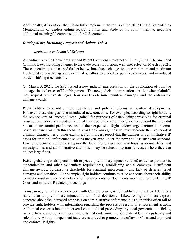Additionally, it is critical that China fully implement the terms of the 2012 United States-China Memorandum of Understanding regarding films and abide by its commitment to negotiate additional meaningful compensation for U.S. content.

#### *Developments, Including Progress and Actions Taken*

#### *Legislative and Judicial Reforms*

Amendments to the Copyright Law and Patent Law went into effect on June 1, 2021. The amended Criminal Law, including changes to the trade secret provisions, went into effect on March 1, 2021. These amendments, discussed further below, introduced changes to some minimum and maximum levels of statutory damages and criminal penalties, provided for punitive damages, and introduced burden-shifting mechanisms.

On March 3, 2021, the SPC issued a new judicial interpretation on the application of punitive damages in civil cases of IP infringement. The new judicial interpretation clarified when plaintiffs may request punitive damages, how courts determine punitive damages, and the criteria for damage awards.

Right holders have noted these legislative and judicial reforms as positive developments. However, these changes have introduced new concerns. For example, according to right holders, the replacement of "income" with "gains" for purposes of establishing thresholds for criminal prosecution under the amended Criminal Law could allow counterfeiters to contend that they did not make substantial profits because of their expenses. Right holders urge a return to incomebased standards for such thresholds to avoid legal ambiguities that may decrease the likelihood of criminal charges. As another example, right holders report that the transfer of administrative IP cases for criminal enforcement remains uneven even under the new and less stringent standard. Law enforcement authorities reportedly lack the budget for warehousing counterfeits and investigations, and administrative authorities may be reluctant to transfer cases where they can collect large fines.

Existing challenges also persist with respect to preliminary injunctive relief, evidence production, authentication and other evidentiary requirements, establishing actual damages, insufficient damage awards, burdensome thresholds for criminal enforcement, and lack of deterrent-level damages and penalties. For example, right holders continue to raise concerns about their ability to meet consularization and notarization requirements for documents submitted to the Beijing IP Court and in other IP-related proceedings.

Transparency remains a key concern with Chinese courts, which publish only selected decisions rather than all preliminary injunctions and final decisions. Likewise, right holders express concerns about the increased emphasis on administrative enforcement, as authorities often fail to provide right holders with information regarding the process or results of enforcement actions. Additional concerns include interventions in judicial proceedings by local government officials, party officials, and powerful local interests that undermine the authority of China's judiciary and rule of law. A truly independent judiciary is critical to promote rule of law in China and to protect and enforce IP rights.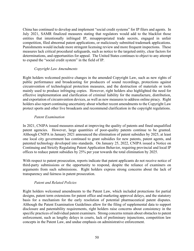China has continued to develop and implement "social credit systems" for IP filers and agents. In July 2021, SAMR finalized measures stating that regulators would add to the blacklist those entities that intentionally infringed IP, misappropriated trade secrets, engaged in unfair competition, filed abnormal patent applications, or maliciously submitted trademark applications. Punishments would include more stringent licensing review and more frequent inspections. These measures lack critical procedural safeguards, such as notice to the targeted entity, clear factors for determinations, and opportunities for appeal. The United States continues to object to any attempt to expand the "social credit system" in the field of IP.

#### *Copyright Law Amendments*

Right holders welcomed positive changes in the amended Copyright Law, such as new rights of public performance and broadcasting for producers of sound recordings, protections against circumvention of technological protection measures, and the destruction of materials or tools mainly used to produce infringing copies. However, right holders also highlighted the need for effective implementation and clarification of criminal liability for the manufacture, distribution, and exportation of circumvention devices, as well as new measures to address online piracy. Right holders also report continuing uncertainty about whether recent amendments to the Copyright Law protect sports and other live broadcasts and recommend clarification in the copyright regulations.

#### *Patent Examination*

In 2021, CNIPA issued measures aimed at improving the quality of patents and fined unqualified patent agencies. However, large quantities of poor-quality patents continue to be granted. Although CNIPA in January 2021 announced the elimination of patent subsidies by 2025, at least one local city government has continued to grant subsidies for new patents, patent agents, and patented technology developed into standards. On January 25, 2022, CNIPA issued a Notice on Continuing and Strictly Regulating Patent Application Behavior, requiring provincial and local IP offices to reduce patent subsidies by 25% per year towards the total elimination by 2025.

With respect to patent prosecution, reports indicate that patent applicants do not receive notice of third-party submissions or the opportunity to respond, despite the reliance of examiners on arguments from such submissions. Right holders express strong concerns about the lack of transparency and fairness in patent prosecution.

#### *Patent and Related Policies*

Right holders welcomed amendments to the Patent Law, which included protections for partial designs, patent term extensions for patent office and marketing approval delays, and the statutory basis for a mechanism for the early resolution of potential pharmaceutical patent disputes. Although the Patent Examination Guidelines allow for the filing of supplemental data to support disclosure and patentability requirements, right holders raise concerns about consistency in the specific practices of individual patent examiners. Strong concerns remain about obstacles to patent enforcement, such as lengthy delays in courts, lack of preliminary injunctions, competition law concepts in the Patent Law, and undue emphasis on administrative enforcement.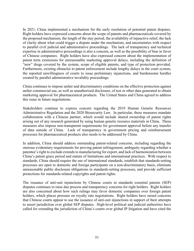In 2021, China implemented a mechanism for the early resolution of potential patent disputes. Right holders have expressed concerns about the scope of patents and pharmaceuticals covered by the proposed mechanism, the length of the stay period, the availability of injunctive relief, the lack of clarity about what could trigger a dispute under the mechanism, and uncertainties with respect to parallel civil judicial and administrative proceedings. The lack of transparency and technical expertise in administrative proceedings is also a concern, as well as the possibility of bias in favor of Chinese companies. Right holders have also expressed concern about the implementation of patent term extensions for unreasonable marketing approval delays, including the definition of "new" drugs covered by the system, scope of eligible patents, and type of protection provided. Furthermore, existing obstacles to patent enforcement include lengthy delays in the court system, the reported unwillingness of courts to issue preliminary injunctions, and burdensome hurdles created by parallel administrative invalidity proceedings.

China continues to impose unfair and discriminatory conditions on the effective protection against unfair commercial use, as well as unauthorized disclosure, of test or other data generated to obtain marketing approval for pharmaceutical products. The United States and China agreed to address this issue in future negotiations.

Stakeholders continue to express concern regarding the 2019 Human Genetic Resources Administrative Regulation and the 2020 Biosecurity Law. In particular, these measures mandate collaboration with a Chinese partner, which would include shared ownership of patent rights arising out of any research generated by using human genetic resource materials in China. These measures also impose non-transparent requirements for government approval before any transfer of data outside of China. Lack of transparency in government pricing and reimbursement processes for pharmaceutical products also needs to be addressed by China.

In addition, China should address outstanding patent-related concerns, including regarding the onerous evidentiary requirements for proving patent infringement, ambiguity regarding whether a patentee's right to exclude extends to manufacturing for export, and lack of harmonization between China's patent grace period and statute of limitations and international practices. With respect to standards, China should require the use of international standards, establish that standards-setting processes are open to domestic and foreign participants on a non-discriminatory basis, eliminate unreasonable public disclosure obligations in standards-setting processes, and provide sufficient protections for standards-related copyrights and patent rights.

The issuance of anti-suit injunctions by Chinese courts in standards essential patents (SEP) disputes continues to raise due process and transparency concerns for right holders. Right holders are also concerned about how such rulings may favor domestic companies over foreign patent holders, which places pressure on royalty rate negotiations. Right holders have raised concerns that Chinese courts appear to use the issuance of anti-suit injunctions in support of their attempts to assert jurisdiction over global SEP disputes. High-level political and judicial authorities have called for extending the jurisdiction of China's courts over global IP litigation and have cited the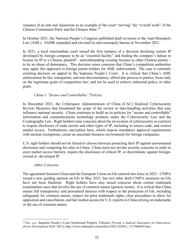issuance of an anti-suit injunction as an example of the court "serving" the "overall work" of the Chinese Communist Party and the Chinese State.[34](#page-51-0)

In October 2021, the National People's Congress published draft revisions to the Anti-Monopoly Law (AML). SAMR expanded and elevated its anti-monopoly bureau in November 2021.

In 2021, a local intermediate court issued the first instance of a decision declaring certain IP developed by foreign company to be an "essential facility" and finding the company's failure to license its IP to a Chinese plaintiff – notwithstanding existing licenses to other Chinese parties – to be an abuse of dominance. This decision raises concerns that China's competition authorities may apply this approach to foreign patent holders for AML enforcement. The case is currently awaiting decision on appeal to the Supreme People's Court. It is critical that China's AML enforcement be fair, transparent, and non-discriminatory; afford due process to parties; focus only on the legitimate goals of competition law; and not be used to achieve industrial policy or other goals.

#### *China's "Secure and Controllable" Policies*

In December 2021, the Cyberspace Administration of China (CAC) finalized Cybersecurity Review Measures that broadened the scope of the review to data-handling activities that may influence national security. China continues to build on its policies for "secure and controllable" information and communications technology products under the Cybersecurity Law and the Cryptography Law. Right holders raise concerns about the invocation of cybersecurity as a pretext to require disclosure of trade secrets and other types of IP, including in source code, and restrict market access. Furthermore, encryption laws, which impose mandatory approval requirements with unclear exemptions, create an uncertain business environment for foreign companies.

U.S. right holders should not be forced to choose between protecting their IP against unwarranted disclosure and competing for sales in China. China must not invoke security concerns in order to erect market access barriers, require the disclosure of critical IP, or discriminate against foreignowned or -developed IP.

#### *Other Concerns*

The agreement between China and the European Union on GIs entered into force in 2021. CNIPA issued a new guiding opinion on GIs in May 2021, but two other draft CNIPA measures on GIs have not been finalized. Right holders have also raised concerns about certain trademark examination cases that involve the use of common names (generic terms). It is critical that China ensure full transparency and procedural fairness with respect to the protection of GIs, including safeguards for common names, respect for prior trademark rights, clear procedures to allow for opposition and cancellation, and fair market access for U.S. exports to China relying on trademarks or the use of common names.

<span id="page-51-0"></span><sup>34</sup> *See*, *e.g.*, Supreme People's Court Intellectual Property Tribunal, *Provide a Judicial Guarantee for Innovationdriven Development* (Feb. 2021), http://www.xinhuanet.com/politics/2021-02/05/c\_1127068693.htm.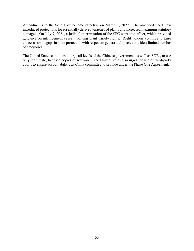Amendments to the Seed Law became effective on March 1, 2022. The amended Seed Law introduced protections for essentially derived varieties of plants and increased maximum statutory damages. On July 7, 2021, a judicial interpretation of the SPC went into effect, which provided guidance on infringement cases involving plant variety rights. Right holders continue to raise concerns about gaps in plant protection with respect to genera and species outside a limited number of categories.

The United States continues to urge all levels of the Chinese government, as well as SOEs, to use only legitimate, licensed copies of software. The United States also urges the use of third-party audits to ensure accountability, as China committed to provide under the Phase One Agreement.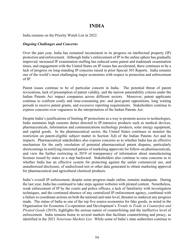# **INDIA**

India remains on the Priority Watch List in 2022.

#### *Ongoing Challenges and Concerns*

Over the past year, India has remained inconsistent in its progress on intellectual property (IP) protection and enforcement. Although India's enforcement of IP in the online sphere has gradually improved, increased IP examination staffing has reduced some patent and trademark examination times, and engagement with the United States on IP issues has accelerated, there continues to be a lack of progress on long-standing IP concerns raised in prior Special 301 Reports. India remains one of the world's most challenging major economies with respect to protection and enforcement of IP.

Patent issues continue to be of particular concern in India. The potential threat of patent revocations, lack of presumption of patent validity, and the narrow patentability criteria under the Indian Patents Act impact companies across different sectors. Moreover, patent applicants continue to confront costly and time-consuming pre- and post-grant oppositions, long waiting periods to receive patent grants, and excessive reporting requirements. Stakeholders continue to express concerns over vagueness in the interpretation of the Indian Patents Act.

Despite India's justifications of limiting IP protections as a way to promote access to technologies, India maintains high customs duties directed to IP-intensive products such as medical devices, pharmaceuticals, information and communications technology products, solar energy equipment, and capital goods. In the pharmaceutical sector, the United States continues to monitor the restriction on patent-eligible subject matter in Section 3(d) of the Indian Patents Act and its impacts. Pharmaceutical stakeholders also express concerns as to whether India has an effective mechanism for the early resolution of potential pharmaceutical patent disputes, particularly shortcomings in notifying interested parties of marketing approvals for follow-on pharmaceuticals, and view the further restricting in 2019 of transparency of information about manufacturing licenses issued by states as a step backward. Stakeholders also continue to raise concerns as to whether India has an effective system for protecting against the unfair commercial use, and unauthorized disclosure, of undisclosed test or other data generated to obtain marketing approval for pharmaceutical and agricultural chemical products.

India's overall IP enforcement, despite some progress made online, remains inadequate. During the last year, India has continued to take steps against websites with pirated content. Nonetheless, weak enforcement of IP by the courts and police officers, a lack of familiarity with investigation techniques, and the continued absence of any centralized IP enforcement agency, combined with a failure to coordinate actions on both the national and state level, threaten to undercut any progress made. The status of India as one of the top five source-economies for fake goods, as noted in the Organisation for Economic Co-operation and Development's *Trends in Trade in Counterfeit and Pirated Goods* (2019), highlights the serious nature of counterfeiting and the ineffective level of enforcement. India remains home to several markets that facilitate counterfeiting and piracy, as identified in the 2021 *Notorious Markets List*. While some of India's state authorities continue to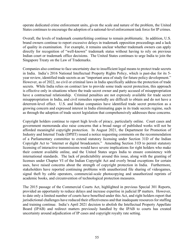operate dedicated crime enforcement units, given the scale and nature of the problem, the United States continues to encourage the adoption of a national-level enforcement task force for IP crimes.

Overall, the levels of trademark counterfeiting continue to remain problematic. In addition, U.S. brand owners continue to report excessive delays in trademark opposition proceedings and a lack of quality in examination. For example, it remains unclear whether trademark owners can apply directly for recognition of "well-known" trademark status without having to rely on previous Indian court or trademark office decisions. The United States continues to urge India to join the Singapore Treaty on the Law of Trademarks.

Companies also continue to face uncertainty due to insufficient legal means to protect trade secrets in India. India's 2016 National Intellectual Property Rights Policy, which is past-due for its 5 year review, identified trade secrets as an "important area of study for future policy development." However, as of 2022, no civil or criminal laws in India specifically address the protection of trade secrets. While India relies on contract law to provide some trade secret protection, this approach is effective only in situations where the trade secret owner and party accused of misappropriation have a contractual relationship. Criminal penalties are not expressly available for trade secret misappropriation in India, and civil remedies reportedly are difficult to obtain and do not have a deterrent-level effect. U.S. and Indian companies have identified trade secret protection as a growing concern and expressed interest in India eliminating gaps in its trade secrets regime, such as through the adoption of trade secret legislation that comprehensively addresses these concerns.

Copyright holders continue to report high levels of piracy, particularly online. Court cases and government memoranda also raise concerns that a broad range of published works will not be afforded meaningful copyright protection. In August 2021, the Department for Promotion of Industry and Internal Trade (DPIIT) issued a notice requesting comments on the recommendation of a Parliamentary committee to extend statutory licensing under Section 31D of the Indian Copyright Act to "internet or digital broadcasters." Amending Section 31D to permit statutory licensing of interactive transmissions would have severe implications for right holders who make their content available online, and the United States urges India to ensure consistency with international standards. The lack of predictability around this issue, along with the granting of licenses under Chapter VI of the Indian Copyright Act and overly broad exceptions for certain uses, have raised concerns about the strength of copyright protection in India. Furthermore, stakeholders have reported continuing problems with unauthorized file sharing of videogames, signal theft by cable operators, commercial-scale photocopying and unauthorized reprints of academic books, and circumvention of technological protection measures.

The 2015 passage of the Commercial Courts Act, highlighted in previous Special 301 Reports, provided an opportunity to reduce delays and increase expertise in judicial IP matters. However, to date only a limited number of courts have benefited under this Act, and right holders report that jurisdictional challenges have reduced their effectiveness and that inadequate resources for staffing and training continue. India's April 2021 decision to abolish the Intellectual Property Appellate Board (IPAB) and redirect matters previously handled by the IPAB to courts has created uncertainty around adjudication of IP cases and copyright royalty rate setting.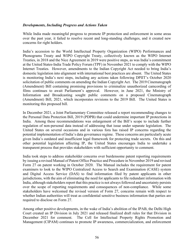#### *Developments, Including Progress and Actions Taken*

While India made meaningful progress to promote IP protection and enforcement in some areas over the past year, it failed to resolve recent and long-standing challenges, and it created new concerns for right holders.

India's accession to the World Intellectual Property Organization (WIPO) Performances and Phonograms Treaty and WIPO Copyright Treaty, collectively known as the WIPO Internet Treaties, in 2018 and the Nice Agreement in 2019 were positive steps, as was India's commitment at the United States-India Trade Policy Forum (TPF) in November 2021 to comply with the WIPO Internet Treaties. However, amendments to the Indian Copyright Act needed to bring India's domestic legislation into alignment with international best practices are absent. The United States is monitoring India's next steps, including any actions taken following DPIIT's October 2020 solicitation of public comments on amending the Indian Copyright Act. The 2019 Cinematograph (Amendment) Bill containing promising provisions to criminalize unauthorized camcording of films continues to await Parliament's approval. However, in June 2021, the Ministry of Information and Broadcasting sought public comments on a proposed Cinematograph (Amendment) Bill, 2021, which incorporates revisions to the 2019 Bill. The United States is monitoring this proposed bill.

In December 2021, a Joint Parliamentary Committee released a report recommending changes to the Personal Data Protection Bill, 2019 (PDPB) that could undermine important IP protections in India. Among these recommendations was enlargement of the Bill's scope to include further regulation of non-personal data instead of addressing that issue under separate legislation. The United States on several occasions and in various fora has raised IP concerns regarding the potential implementation of India's data governance regime. These concerns are particularly acute given India's outdated and insufficient legal framework for protecting trade secrets. On this and other potential legislation affecting IP, the United States encourages India to undertake a transparent process that provides stakeholders with sufficient opportunity to comment.

India took steps to address stakeholder concerns over burdensome patent reporting requirements by issuing a revised Manual of Patent Office Practice and Procedure in November 2019 and revised Form 27 on patent working in October 2020. The Manual includes the requirement for patent examiners to look to the WIPO Centralized Access to Search and Examination (CASE) system and Digital Access Service (DAS) to find information filed by patent applicants in other jurisdictions, with the aim of eliminating the need for applicants to file redundant information with India, although stakeholders report that this practice is not always followed and uncertainty persists over the scope of reporting requirements and consequences of non-compliance. While some stakeholders have welcomed the revised version of Form 27, concerns remain with respect to whether Indian authorities will treat as confidential sensitive business information that parties are required to disclose on Form 27.

Among other positive developments, in the wake of India's abolition of the IPAB, the Delhi High Court created an IP Division in July 2021 and released finalized draft rules for that Division in December 2021 for comment. The Cell for Intellectual Property Rights Promotion and Management (CIPAM) continues to promote IP awareness, commercialization, and enforcement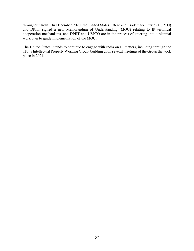throughout India. In December 2020, the United States Patent and Trademark Office (USPTO) and DPIIT signed a new Memorandum of Understanding (MOU) relating to IP technical cooperation mechanisms, and DPIIT and USPTO are in the process of entering into a biennial work plan to guide implementation of the MOU.

The United States intends to continue to engage with India on IP matters, including through the TPF's Intellectual Property Working Group, building upon several meetings of the Group that took place in 2021.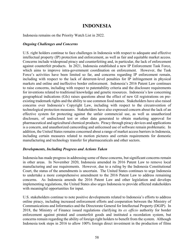# **INDONESIA**

Indonesia remains on the Priority Watch List in 2022.

#### *Ongoing Challenges and Concerns*

U.S. right holders continue to face challenges in Indonesia with respect to adequate and effective intellectual property (IP) protection and enforcement, as well as fair and equitable market access. Concerns include widespread piracy and counterfeiting and, in particular, the lack of enforcement against counterfeit products. In 2021, Indonesia established a new IP Enforcement Task Force, which aims to improve intra-government coordination on enforcement. However, the Task Force's activities have been limited so far, and concerns regarding IP enforcement remain, including with respect to the lack of deterrent-level penalties for IP infringement in physical markets and online and ineffective border enforcement. Indonesia's 2016 Patent Law continues to raise concerns, including with respect to patentability criteria and the disclosure requirements for inventions related to traditional knowledge and genetic resources. Indonesia's law concerning geographical indications (GIs) raises questions about the effect of new GI registrations on preexisting trademark rights and the ability to use common food names. Stakeholders have also raised concerns over Indonesia's Copyright Law, including with respect to the circumvention of technological protection measures. Stakeholders have also expressed concern about the lack of an effective system for protecting against the unfair commercial use, as well as unauthorized disclosure, of undisclosed test or other data generated to obtain marketing approval for pharmaceutical and agricultural chemical products. Piracy through piracy devices and applications is a concern, and unauthorized camcording and unlicensed use of software remain problematic. In addition, the United States remains concerned about a range of market access barriers in Indonesia, including certain measures related to motion pictures and certain requirements for domestic manufacturing and technology transfer for pharmaceuticals and other sectors.

#### *Developments, Including Progress and Actions Taken*

Indonesia has made progress in addressing some of these concerns, but significant concerns remain in other areas. In November 2020, Indonesia amended its 2016 Patent Law to remove local manufacturing and use requirements. However, due to a ruling by the Indonesia Constitutional Court, the status of the amendments is uncertain. The United States continues to urge Indonesia to undertake a more comprehensive amendment to the 2016 Patent Law to address remaining concerns. As Indonesia amends the 2016 Patent Law and other legislation and develops implementing regulations, the United States also urges Indonesia to provide affected stakeholders with meaningful opportunities for input.

U.S. stakeholders continue to note positive developments related to Indonesia's efforts to address online piracy, including increased enforcement efforts and cooperation between the Ministry of Communications and Informatics and the Directorate General for Intellectual Property (DGIP). In 2018, the Ministry of Finance issued regulations clarifying its *ex officio* authority for border enforcement against pirated and counterfeit goods and instituted a recordation system, but concerns remain regarding the ability of foreign right holders to benefit from the system. Although Indonesia took steps in 2016 to allow 100% foreign direct investment in the production of films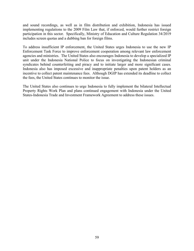and sound recordings, as well as in film distribution and exhibition, Indonesia has issued implementing regulations to the 2009 Film Law that, if enforced, would further restrict foreign participation in this sector. Specifically, Ministry of Education and Culture Regulation 34/2019 includes screen quotas and a dubbing ban for foreign films.

To address insufficient IP enforcement, the United States urges Indonesia to use the new IP Enforcement Task Force to improve enforcement cooperation among relevant law enforcement agencies and ministries. The United States also encourages Indonesia to develop a specialized IP unit under the Indonesia National Police to focus on investigating the Indonesian criminal syndicates behind counterfeiting and piracy and to initiate larger and more significant cases. Indonesia also has imposed excessive and inappropriate penalties upon patent holders as an incentive to collect patent maintenance fees. Although DGIP has extended its deadline to collect the fees, the United States continues to monitor the issue.

The United States also continues to urge Indonesia to fully implement the bilateral Intellectual Property Rights Work Plan and plans continued engagement with Indonesia under the United States-Indonesia Trade and Investment Framework Agreement to address these issues.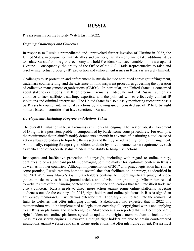# **RUSSIA**

Russia remains on the Priority Watch List in 2022.

#### *Ongoing Challenges and Concerns*

In response to Russia's premeditated and unprovoked further invasion of Ukraine in 2022, the United States, in conjunction with its allies and partners, has taken or plans to take additional steps to isolate Russia from the global economy and hold President Putin accountable for his war against Ukraine. Consequently, the ability of the Office of the U.S. Trade Representative to raise and resolve intellectual property (IP) protection and enforcement issues in Russia is severely limited.

Challenges to IP protection and enforcement in Russia include continued copyright infringement, trademark counterfeiting, and the existence of nontransparent procedures governing the operation of collective management organizations (CMOs). In particular, the United States is concerned about stakeholder reports that IP enforcement remains inadequate and that Russian authorities continue to lack sufficient staffing, expertise, and the political will to effectively combat IP violations and criminal enterprises. The United States is also closely monitoring recent proposals by Russia to counter international sanctions by allowing uncompensated use of IP held by right holders based in countries that have sanctioned Russia.

#### *Developments, Including Progress and Actions Taken*

The overall IP situation in Russia remains extremely challenging. The lack of robust enforcement of IP rights is a persistent problem, compounded by burdensome court procedures. For example, the requirement that plaintiffs notify defendants a month in advance of instituting a civil cause of action allows defendants to liquidate their assets and thereby avoid liability for their infringement. Additionally, requiring foreign right holders to abide by strict documentation requirements, such as verification of corporate status, hinders their ability to bring civil actions.

Inadequate and ineffective protection of copyright, including with regard to online piracy, continues to be a significant problem, damaging both the market for legitimate content in Russia as well as in other countries. Although implementation of 2017 anti-piracy legislation has shown some promise, Russia remains home to several sites that facilitate online piracy, as identified in the 2021 *Notorious Markets List*. Stakeholders continue to report significant piracy of video games, music, movies, books, journal articles, and television programming. Mirror sites related to websites that offer infringing content and smartphone applications that facilitate illicit trade are also a concern. Russia needs to direct more action against rogue online platforms targeting audiences outside the country. In 2018, right holders and online platforms in Russia signed an anti-piracy memorandum, which was extended until February 2022, to facilitate the removal of links to websites that offer infringing content. Stakeholders had expected that in 2022 this memorandum would be implemented as legislation covering all copyrighted works and applying to all Russian platforms and search engines. Stakeholders also reported that in December 2021, right holders and online platforms agreed to update the original memorandum to include new measures on search engines. However, although right holders are able to obtain court-ordered injunctions against websites and smartphone applications that offer infringing content, Russia must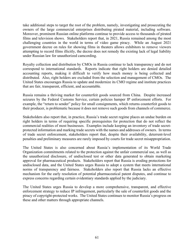take additional steps to target the root of the problem, namely, investigating and prosecuting the owners of the large commercial enterprises distributing pirated material, including software. Moreover, prominent Russian online platforms continue to provide access to thousands of pirated films and television shows. Stakeholders report that, in 2021, Russia remained among the most challenging countries in the world in terms of video game piracy. While an August 2021 government decree on rules for showing films in theaters allows exhibitors to remove viewers attempting to record films illicitly, the decree does not remedy the existing lack of legal liability under Russian law for unauthorized camcording.

Royalty collection and distribution by CMOs in Russia continue to lack transparency and do not correspond to international standards. Reports indicate that right holders are denied detailed accounting reports, making it difficult to verify how much money is being collected and distributed. Also, right holders are excluded from the selection and management of CMOs. The United States encourages Russia to update and modernize its CMO regime and institute practices that are fair, transparent, efficient, and accountable.

Russia remains a thriving market for counterfeit goods sourced from China. Despite increased seizures by the Federal Customs Service, certain policies hamper IP enforcement efforts. For example, the "return to sender" policy for small consignments, which returns counterfeit goods to their producer, is problematic because it does not remove such goods from channels of commerce.

Stakeholders also report that, in practice, Russia's trade secret regime places an undue burden on right holders in terms of requiring specific prerequisites for protection that do not reflect the commercial realities of most businesses. Examples include keeping an inventory of trade secretprotected information and marking trade secrets with the names and addresses of owners. In terms of trade secret enforcement, stakeholders report that, despite their availability, deterrent-level penalties and preliminary measures are rarely imposed by courts for trade secret misappropriation.

The United States is also concerned about Russia's implementation of its World Trade Organization commitments related to the protection against the unfair commercial use, as well as the unauthorized disclosure, of undisclosed test or other data generated to obtain marketing approval for pharmaceutical products. Stakeholders report that Russia is eroding protections for undisclosed data, and the United States urges Russia to adopt a system that meets international norms of transparency and fairness. Stakeholders also report that Russia lacks an effective mechanism for the early resolution of potential pharmaceutical patent disputes, and continue to express concerns regarding certain evidentiary standards applied by the judiciary.

The United States urges Russia to develop a more comprehensive, transparent, and effective enforcement strategy to reduce IP infringement, particularly the sale of counterfeit goods and the piracy of copyright-protected works. The United States continues to monitor Russia's progress on these and other matters through appropriate channels.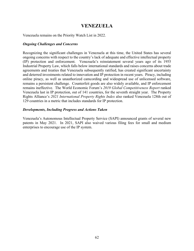# **VENEZUELA**

Venezuela remains on the Priority Watch List in 2022.

#### *Ongoing Challenges and Concerns*

Recognizing the significant challenges in Venezuela at this time, the United States has several ongoing concerns with respect to the country's lack of adequate and effective intellectual property (IP) protection and enforcement. Venezuela's reinstatement several years ago of its 1955 Industrial Property Law, which falls below international standards and raises concerns about trade agreements and treaties that Venezuela subsequently ratified, has created significant uncertainty and deterred investments related to innovation and IP protection in recent years. Piracy, including online piracy, as well as unauthorized camcording and widespread use of unlicensed software, remains a persistent challenge. Counterfeit goods are also widely available, and IP enforcement remains ineffective. The World Economic Forum's *2019 Global Competitiveness Report* ranked Venezuela last in IP protection, out of 141 countries, for the seventh straight year. The Property Rights Alliance's *2021 International Property Rights Index* also ranked Venezuela 128th out of 129 countries in a metric that includes standards for IP protection.

#### *Developments, Including Progress and Actions Taken*

Venezuela's Autonomous Intellectual Property Service (SAPI) announced grants of several new patents in May 2021. In 2021, SAPI also waived various filing fees for small and medium enterprises to encourage use of the IP system.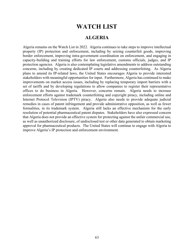# **WATCH LIST**

## **ALGERIA**

Algeria remains on the Watch List in 2022. Algeria continues to take steps to improve intellectual property (IP) protection and enforcement, including by seizing counterfeit goods, improving border enforcement, improving intra-government coordination on enforcement, and engaging in capacity-building and training efforts for law enforcement, customs officials, judges, and IP protection agencies. Algeria is also contemplating legislative amendments to address outstanding concerns, including by creating dedicated IP courts and addressing counterfeiting. As Algeria plans to amend its IP-related laws, the United States encourages Algeria to provide interested stakeholders with meaningful opportunities for input. Furthermore, Algeria has continued to make improvements on market access issues, including by replacing temporary import barriers with a set of tariffs and by developing regulations to allow companies to register their representative offices to do business in Algeria. However, concerns remain. Algeria needs to increase enforcement efforts against trademark counterfeiting and copyright piracy, including online and Internet Protocol Television (IPTV) piracy. Algeria also needs to provide adequate judicial remedies in cases of patent infringement and provide administrative opposition, as well as fewer formalities, in its trademark system. Algeria still lacks an effective mechanism for the early resolution of potential pharmaceutical patent disputes. Stakeholders have also expressed concern that Algeria does not provide an effective system for protecting against the unfair commercial use, as well as unauthorized disclosure, of undisclosed test or other data generated to obtain marketing approval for pharmaceutical products. The United States will continue to engage with Algeria to improve Algeria's IP protection and enforcement environment.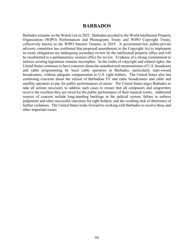#### **BARBADOS**

Barbados remains on the Watch List in 2022. Barbados acceded to the World Intellectual Property Organization (WIPO) Performances and Phonograms Treaty and WIPO Copyright Treaty, collectively known as the WIPO Internet Treaties, in 2019. A government-led, public-private advisory committee has confirmed that proposed amendments to the Copyright Act to implement its treaty obligations are undergoing secondary review by the intellectual property office and will be resubmitted to a parliamentary counsel office for review. Evidence of a strong commitment to enforce existing legislation remains incomplete. In the realm of copyright and related rights, the United States continues to have concerns about the unauthorized retransmission of U.S. broadcasts and cable programming by local cable operators in Barbados, particularly state-owned broadcasters, without adequate compensation to U.S. right holders. The United States also has continuing concerns about the refusal of Barbadian TV and radio broadcasters and cable and satellite operators to pay for public performances of music. The United States urges Barbados to take all actions necessary to address such cases to ensure that all composers and songwriters receive the royalties they are owed for the public performance of their musical works. Additional sources of concern include long-standing backlogs in the judicial system, failure to enforce judgments and other successful outcomes for right holders, and the resulting lack of deterrence of further violations. The United States looks forward to working with Barbados to resolve these and other important issues.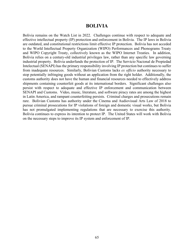#### **BOLIVIA**

Bolivia remains on the Watch List in 2022. Challenges continue with respect to adequate and effective intellectual property (IP) protection and enforcement in Bolivia. The IP laws in Bolivia are outdated, and constitutional restrictions limit effective IP protection. Bolivia has not acceded to the World Intellectual Property Organization (WIPO) Performances and Phonograms Treaty and WIPO Copyright Treaty, collectively known as the WIPO Internet Treaties. In addition, Bolivia relies on a century-old industrial privileges law, rather than any specific law governing industrial property. Bolivia underfunds the protection of IP. The Servicio Nacional de Propiedad Intelectual (SENAPI) has the primary responsibility involving IP protection but continues to suffer from inadequate resources. Similarly, Bolivian Customs lacks *ex officio* authority necessary to stop potentially infringing goods without an application from the right holder. Additionally, the customs authority does not have the human and financial resources needed to effectively address shipments containing counterfeit goods at its international borders. Significant challenges also persist with respect to adequate and effective IP enforcement and communication between SENAPI and Customs. Video, music, literature, and software piracy rates are among the highest in Latin America, and rampant counterfeiting persists. Criminal charges and prosecutions remain rare. Bolivian Customs has authority under the Cinema and Audiovisual Arts Law of 2018 to pursue criminal prosecutions for IP violations of foreign and domestic visual works, but Bolivia has not promulgated implementing regulations that are necessary to exercise this authority. Bolivia continues to express its intention to protect IP. The United States will work with Bolivia on the necessary steps to improve its IP system and enforcement of IP.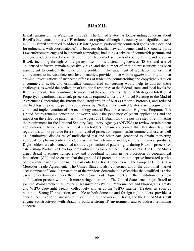#### **BRAZIL**

Brazil remains on the Watch List in 2022. The United States has long-standing concerns about Brazil's intellectual property (IP) enforcement regime, although the country took significant steps in 2021. Brazil continued to address IP infringement, particularly counterfeit goods often destined for online sale, with coordinated efforts between Brazilian law enforcement and U.S. counterparts. Law enforcement engaged in landmark campaigns, including a seizure of counterfeit perfume and cologne products valued at over \$100 million. Nevertheless, levels of counterfeiting and piracy in Brazil, including through online piracy, use of illicit streaming devices (ISDs), and use of unlicensed software, remain excessively high, and the number of criminal prosecutions has been insufficient to confront the scale of the problem. The enactment of legislation for criminal enforcement to increase deterrent-level penalties, provide police with *ex officio* authority to open criminal investigations of suspected offenses of trademark counterfeiting and copyright piracy on a commercial scale, and criminalize unauthorized camcording would help to address these challenges, as would the dedication of additional resources at the federal, state, and local levels for IP enforcement. Brazil continued to implement the country's first National Strategy on Intellectual Property, streamlined trademark processes as required under the Protocol Relating to the Madrid Agreement Concerning the International Registration of Marks (Madrid Protocol), and reduced the backlog of pending patent applications by 76.8%. The United States also recognizes the continued implementation of the technology-neutral Patent Prosecution Highway Program. The United States remains concerned, however, about the pendency of patent applications and the impact on the effective patent term. In August 2021, Brazil took the positive step of eliminating the requirement for the National Sanitary Regulatory Agency (ANVISA) to review certain patent applications. Also, pharmaceutical stakeholders remain concerned that Brazilian law and regulations do not provide for a similar level of protection against unfair commercial use, as well as unauthorized disclosure, of undisclosed test and other data generated to obtain marketing approval for pharmaceutical products as that for veterinary and agricultural chemical products. Right holders are also concerned about the protection of patent rights during Brazil's process for establishing Productive Development Partnerships for pharmaceutical products. The United States urges Brazil to ensure transparency and procedural fairness in the protection of geographical indications (GIs) and to ensure that the grant of GI protection does not deprive interested parties of the ability to use common names, particularly as Brazil proceeds with the European Union (EU)- Mercosur Trade Agreement. The United States is also concerned about the additional market access impact of Brazil's revocation of the previous determination of entities that qualified as prior users for certain GIs under the EU-Mercosur Trade Agreement and the institution of a new qualification process with much more stringent criteria. The United States encourages Brazil to join the World Intellectual Property Organization (WIPO) Performances and Phonograms Treaty and WIPO Copyright Treaty, collectively known as the WIPO Internet Treaties, as soon as possible. Strong IP protection, available to both domestic and foreign right holders, provides a critical incentive for businesses to invest in future innovation in Brazil, and the United States will engage constructively with Brazil to build a strong IP environment and to address remaining concerns.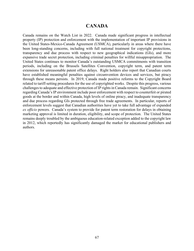### **CANADA**

Canada remains on the Watch List in 2022. Canada made significant progress in intellectual property (IP) protection and enforcement with the implementation of important IP provisions in the United States-Mexico-Canada Agreement (USMCA), particularly in areas where there have been long-standing concerns, including with full national treatment for copyright protections, transparency and due process with respect to new geographical indications (GIs), and more expansive trade secret protection, including criminal penalties for willful misappropriation. The United States continues to monitor Canada's outstanding USMCA commitments with transition periods, including on the Brussels Satellites Convention, copyright term, and patent term extensions for unreasonable patent office delays. Right holders also report that Canadian courts have established meaningful penalties against circumvention devices and services, but piracy through these means persists. In 2019, Canada made positive reforms to the Copyright Board related to tariff-setting procedures for the use of copyrighted works. Despite this progress, various challenges to adequate and effective protection of IP rights in Canada remain. Significant concerns regarding Canada's IP environment include poor enforcement with respect to counterfeit or pirated goods at the border and within Canada, high levels of online piracy, and inadequate transparency and due process regarding GIs protected through free trade agreements. In particular, reports of enforcement levels suggest that Canadian authorities have yet to take full advantage of expanded *ex officio* powers. Canada's system to provide for patent term restoration for delays in obtaining marketing approval is limited in duration, eligibility, and scope of protection. The United States remains deeply troubled by the ambiguous education-related exception added to the copyright law in 2012, which reportedly has significantly damaged the market for educational publishers and authors.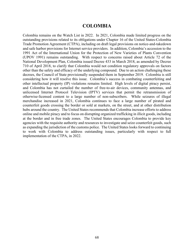### **COLOMBIA**

Colombia remains on the Watch List in 2022. In 2021, Colombia made limited progress on the outstanding provisions related to its obligations under Chapter 16 of the United States-Colombia Trade Promotion Agreement (CTPA), including on draft legal provisions on notice-and-takedown and safe harbor provisions for Internet service providers. In addition, Colombia's accession to the 1991 Act of the International Union for the Protection of New Varieties of Plants Convention (UPOV 1991) remains outstanding. With respect to concerns raised about Article 72 of the National Development Plan, Colombia issued Decree 433 in March 2018, as amended by Decree 710 of April 2018, to clarify that Colombia would not condition regulatory approvals on factors other than the safety and efficacy of the underlying compound. Due to an action challenging these decrees, the Council of State provisionally suspended them in September 2019. Colombia is still considering how it will resolve this issue. Colombia's success in combating counterfeiting and other intellectual property (IP) violations remains limited. High levels of digital piracy persist, and Colombia has not curtailed the number of free-to-air devices, community antennas, and unlicensed Internet Protocol Television (IPTV) services that permit the retransmission of otherwise-licensed content to a large number of non-subscribers. While seizures of illegal merchandise increased in 2021, Colombia continues to face a large number of pirated and counterfeit goods crossing the border or sold at markets, on the street, and at other distribution hubs around the country. The United States recommends that Colombia increase efforts to address online and mobile piracy and to focus on disrupting organized trafficking in illicit goods, including at the border and in free trade zones. The United States encourages Colombia to provide key agencies with the requisite authority and resources to investigate and seize counterfeit goods, such as expanding the jurisdiction of the customs police. The United States looks forward to continuing to work with Colombia to address outstanding issues, particularly with respect to full implementation of the CTPA, in 2022.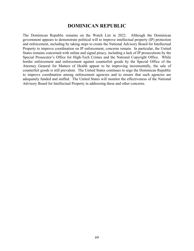# **DOMINICAN REPUBLIC**

The Dominican Republic remains on the Watch List in 2022. Although the Dominican government appears to demonstrate political will to improve intellectual property (IP) protection and enforcement, including by taking steps to create the National Advisory Board for Intellectual Property to improve coordination on IP enforcement, concerns remain. In particular, the United States remains concerned with online and signal piracy, including a lack of IP prosecutions by the Special Prosecutor's Office for High-Tech Crimes and the National Copyright Office. While border enforcement and enforcement against counterfeit goods by the Special Office of the Attorney General for Matters of Health appear to be improving incrementally, the sale of counterfeit goods is still prevalent. The United States continues to urge the Dominican Republic to improve coordination among enforcement agencies and to ensure that such agencies are adequately funded and staffed. The United States will monitor the effectiveness of the National Advisory Board for Intellectual Property in addressing these and other concerns.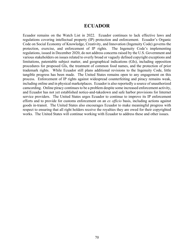#### **ECUADOR**

Ecuador remains on the Watch List in 2022. Ecuador continues to lack effective laws and regulations covering intellectual property (IP) protection and enforcement. Ecuador's Organic Code on Social Economy of Knowledge, Creativity, and Innovation (Ingenuity Code) governs the protection, exercise, and enforcement of IP rights. The Ingenuity Code's implementing regulations, issued in December 2020, do not address concerns raised by the U.S. Government and various stakeholders on issues related to overly broad or vaguely defined copyright exceptions and limitations, patentable subject matter, and geographical indications (GIs), including opposition procedures for proposed GIs, the treatment of common food names, and the protection of prior trademark rights. While Ecuador still plans additional revisions to the Ingenuity Code, little tangible progress has been made. The United States remains open to any engagement on this process. Enforcement of IP rights against widespread counterfeiting and piracy remains weak, including online and in physical marketplaces. Ecuador is also reportedly a source of unauthorized camcording. Online piracy continues to be a problem despite some increased enforcement activity, and Ecuador has not yet established notice-and-takedown and safe harbor provisions for Internet service providers. The United States urges Ecuador to continue to improve its IP enforcement efforts and to provide for customs enforcement on an *ex officio* basis, including actions against goods in-transit. The United States also encourages Ecuador to make meaningful progress with respect to ensuring that all right holders receive the royalties they are owed for their copyrighted works. The United States will continue working with Ecuador to address these and other issues.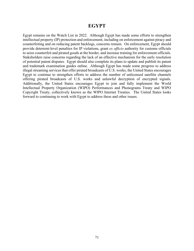### **EGYPT**

Egypt remains on the Watch List in 2022. Although Egypt has made some efforts to strengthen intellectual property (IP) protection and enforcement, including on enforcement against piracy and counterfeiting and on reducing patent backlogs, concerns remain. On enforcement, Egypt should provide deterrent-level penalties for IP violations, grant *ex officio* authority for customs officials to seize counterfeit and pirated goods at the border, and increase training for enforcement officials. Stakeholders raise concerns regarding the lack of an effective mechanism for the early resolution of potential patent disputes. Egypt should also complete its plans to update and publish its patent and trademark examination guides online. Although Egypt has made some progress to address illegal streaming services that offer pirated broadcasts of U.S. works, the United States encourages Egypt to continue to strengthen efforts to address the number of unlicensed satellite channels offering pirated broadcasts of U.S. works and unlawful decryption of encrypted signals. Additionally, the United States encourages Egypt to join and fully implement the World Intellectual Property Organization (WIPO) Performances and Phonograms Treaty and WIPO Copyright Treaty, collectively known as the WIPO Internet Treaties. The United States looks forward to continuing to work with Egypt to address these and other issues.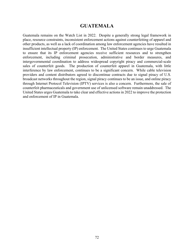### **GUATEMALA**

Guatemala remains on the Watch List in 2022. Despite a generally strong legal framework in place, resource constraints, inconsistent enforcement actions against counterfeiting of apparel and other products, as well as a lack of coordination among law enforcement agencies have resulted in insufficient intellectual property (IP) enforcement. The United States continues to urge Guatemala to ensure that its IP enforcement agencies receive sufficient resources and to strengthen enforcement, including criminal prosecution, administrative and border measures, and intergovernmental coordination to address widespread copyright piracy and commercial-scale sales of counterfeit goods. The production of counterfeit apparel in Guatemala, with little interference by law enforcement, continues to be a significant concern. While cable television providers and content distributors agreed to discontinue contracts due to signal piracy of U.S. broadcast networks throughout the region, signal piracy continues to be an issue, and online piracy through Internet Protocol Television (IPTV) services is also a concern. Furthermore, the sale of counterfeit pharmaceuticals and government use of unlicensed software remain unaddressed. The United States urges Guatemala to take clear and effective actions in 2022 to improve the protection and enforcement of IP in Guatemala.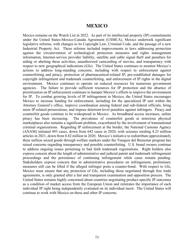### **MEXICO**

Mexico remains on the Watch List in 2022. As part of its intellectual property (IP) commitments under the United States-Mexico-Canada Agreement (USMCA), Mexico undertook significant legislative reforms, with changes to its Copyright Law, Criminal Code, and the passage of a new Industrial Property Act. These reforms included improvements in laws addressing protection against the circumvention of technological protection measures and rights management information, Internet-service provider liability, satellite and cable signal theft and penalties for aiding or abetting these activities, unauthorized camcording of movies, and transparency with respect to new geographical indications (GIs). The United States continues to monitor Mexico's actions to address long-standing concerns, including with respect to enforcement against counterfeiting and piracy, protection of pharmaceutical-related IP, pre-established damages for copyright infringement and trademark counterfeiting, and enforcement of IP rights in the digital environment. Mexico continues to operate on reduced resources for numerous government agencies. The failure to provide sufficient resources for IP protection and the absence of prioritization on IP enforcement continues to hamper Mexico's efforts to improve the environment for IP. To combat growing levels of IP infringement in Mexico, the United States encourages Mexico to increase funding for enforcement, including for the specialized IP unit within the Attorney General's office, improve coordination among federal and sub-federal officials, bring more IP-related prosecutions, and impose deterrent-level penalties against infringers. Piracy and counterfeit goods continue to be widespread in Mexico. As broadband access increases, online piracy has been increasing. The prevalence of counterfeit goods at notorious physical marketplaces also remains a significant problem, exacerbated by the involvement of transnational criminal organizations. Regarding IP enforcement at the border, the National Customs Agency (ANAM) initiated 493 cases, down from 642 cases in 2020, with seizures totaling 4.23 million articles in 2021, down from 8.82 million in 2020. Mexico's initiative to redistribute approximately three million seized goods through welfare markets under the Tianguis del Bienestar program has raised concerns regarding transparency and possible counterfeiting. U.S. brand owners continue to address ongoing issues pertaining to bad faith trademark registrations. Right holders also express concern about the length of administrative and judicial patent and trademark infringement proceedings and the persistence of continuing infringement while cases remain pending. Stakeholders express concern that in administrative procedures on infringement, preliminary measures still can be lifted if the alleged infringer posts a counter-bond. With respect to GIs, Mexico must ensure that any protection of GIs, including those negotiated through free trade agreements, is only granted after a fair and transparent examination and opposition process. The United States remains highly concerned about countries negotiating product-specific IP outcomes as a condition of market access from the European Union and reiterates the importance of each individual IP right being independently evaluated on its individual merit. The United States will continue to work with Mexico on these and other IP concerns.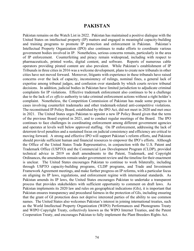## **PAKISTAN**

Pakistan remains on the Watch List in 2022. Pakistan has maintained a positive dialogue with the United States on intellectual property (IP) matters and engaged in meaningful capacity-building and training programs to promote IP protection and enforcement in Pakistan. Pakistan's Intellectual Property Organization (IPO) also continues to make efforts to coordinate various government bodies involved in IP. Nonetheless, serious concerns remain, particularly in the area of IP enforcement. Counterfeiting and piracy remain widespread, including with respect to pharmaceuticals, printed works, digital content, and software. Reports of numerous cable operators providing pirated content are also prevalent. While Pakistan's establishment of IP Tribunals in three cities in 2016 was a welcome development, plans to create new tribunals in other cities have not moved forward. Moreover, litigants with experience in these tribunals have raised concerns over the lack of capacity, inconsistency of rulings, nominal fines, a general lack of expertise among tribunal judges, and confusion over standards by which courts review tribunal decisions. In addition, judicial bodies in Pakistan have limited jurisdiction to adjudicate criminal complaints for IP violations. Effective trademark enforcement also continues to be a challenge due to the lack of *ex officio* authority to take criminal enforcement actions without a right holder's complaint. Nonetheless, the Competition Commission of Pakistan has made some progress in cases involving counterfeit trademarks and other trademark-related anti-competitive violations. The reconstituted IP Policy Board, established by the IPO Act, did not meet in 2020 and met once in 2021. The United States urges Pakistan to appoint a new IP Policy Board given that the term of the previous Board expired in 2021, and to conduct regular meetings of the Board. The IPO continues to face challenges in coordinating enforcement among different government agencies and operates at levels well below approved staffing. On IP enforcement, addressing the lack of deterrent-level penalties and a sustained focus on judicial consistency and efficiency are critical to moving forward. A strong and effective IPO will support Pakistan's reform efforts, and Pakistan should provide sufficient human and financial resources to empower the IPO's efforts. Although the Office of the United States Trade Representative, in conjunction with the U.S. Patent and Trademark Office (USPTO) and the Commercial Law Development Program (CLDP), provided technical advice in 2019 on draft amendments to the Patent, Trademark, and Copyright Ordinances, the amendments remain under government review and the timeline for their enactment is unclear. The United States encourages Pakistan to continue to work bilaterally, including through USPTO capacity-building programs, CLDP programs, and Trade and Investment Framework Agreement meetings, and make further progress on IP reforms, with a particular focus on aligning its IP laws, regulations, and enforcement regime with international standards. As Pakistan amends its IP laws, the United States encourages Pakistan to undertake a transparent process that provides stakeholders with sufficient opportunity to comment on draft laws. As Pakistan implements its 2020 law and rules on geographical indications (GIs), it is important that Pakistan ensures transparency and procedural fairness in the protection of GIs, including ensuring that the grant of GI protection does not deprive interested parties of the ability to use common names. The United States also welcomes Pakistan's interest in joining international treaties, such as the World Intellectual Property Organization (WIPO) Performances and Phonograms Treaty and WIPO Copyright Treaty, collectively known as the WIPO Internet Treaties, and the Patent Cooperation Treaty, and encourages Pakistan to fully implement the Plant Breeders Rights Act.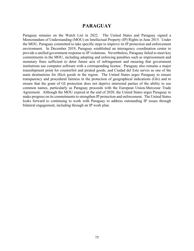# **PARAGUAY**

Paraguay remains on the Watch List in 2022. The United States and Paraguay signed a Memorandum of Understanding (MOU) on Intellectual Property (IP) Rights in June 2015. Under the MOU, Paraguay committed to take specific steps to improve its IP protection and enforcement environment. In December 2019, Paraguay established an interagency coordination center to provide a unified government response to IP violations. Nevertheless, Paraguay failed to meet key commitments in the MOU, including adopting and enforcing penalties such as imprisonment and monetary fines sufficient to deter future acts of infringement and ensuring that government institutions use computer software with a corresponding license. Paraguay also remains a major transshipment point for counterfeit and pirated goods, and Ciudad del Este serves as one of the main destinations for illicit goods in the region. The United States urges Paraguay to ensure transparency and procedural fairness in the protection of geographical indications (GIs) and to ensure that the grant of GI protection does not deprive interested parties of the ability to use common names, particularly as Paraguay proceeds with the European Union-Mercosur Trade Agreement. Although the MOU expired at the end of 2020, the United States urges Paraguay to make progress on its commitments to strengthen IP protection and enforcement. The United States looks forward to continuing to work with Paraguay to address outstanding IP issues through bilateral engagement, including through an IP work plan.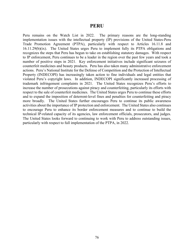#### **PERU**

Peru remains on the Watch List in 2022. The primary reasons are the long-standing implementation issues with the intellectual property (IP) provisions of the United States-Peru Trade Promotion Agreement (PTPA), particularly with respect to Articles 16.11.8 and 16.11.29(b)(ix). The United States urges Peru to implement fully its PTPA obligations and recognizes the steps that Peru has begun to take on establishing statutory damages. With respect to IP enforcement, Peru continues to be a leader in the region over the past few years and took a number of positive steps in 2021. Key enforcement initiatives include significant seizures of counterfeit medicines and beauty products. Peru has also taken many administrative enforcement actions. Peru's National Institute for the Defense of Competition and the Protection of Intellectual Property (INDECOPI) has increasingly taken action to fine individuals and legal entities that violated Peru's copyright laws. In addition, INDECOPI significantly increased processing of trademark infringement complaints in 2021. The United States recognizes Peru's efforts to increase the number of prosecutions against piracy and counterfeiting, particularly its efforts with respect to the sale of counterfeit medicines. The United States urges Peru to continue these efforts and to expand the imposition of deterrent-level fines and penalties for counterfeiting and piracy more broadly. The United States further encourages Peru to continue its public awareness activities about the importance of IP protection and enforcement. The United States also continues to encourage Peru to enhance its border enforcement measures and to continue to build the technical IP-related capacity of its agencies, law enforcement officials, prosecutors, and judges. The United States looks forward to continuing to work with Peru to address outstanding issues, particularly with respect to full implementation of the PTPA, in 2022.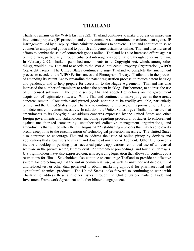### **THAILAND**

Thailand remains on the Watch List in 2022. Thailand continues to make progress on improving intellectual property (IP) protection and enforcement. A subcommittee on enforcement against IP infringement, led by a Deputy Prime Minister, continues to convene. Thailand continues to seize counterfeit and pirated goods and to publish enforcement statistics online. Thailand also increased efforts to combat the sale of counterfeit goods online. Thailand has also increased efforts against online piracy, particularly through enhanced intra-agency coordination, though concerns remain. In February 2022, Thailand published amendments to its Copyright Act, which, among other things, would allow Thailand to accede to the World Intellectual Property Organization (WIPO) Copyright Treaty. The United States continues to urge Thailand to complete the amendment process to accede to the WIPO Performances and Phonograms Treaty. Thailand is in the process of amending its Patent Act to streamline the patent registration process, to reduce patent backlog and pendency, and to help prepare for accession to the Hague Agreement. Thailand has also increased the number of examiners to reduce the patent backlog. Furthermore, to address the use of unlicensed software in the public sector, Thailand adopted guidelines on the government acquisition of legitimate software. While Thailand continues to make progress in these areas, concerns remain. Counterfeit and pirated goods continue to be readily available, particularly online, and the United States urges Thailand to continue to improve on its provision of effective and deterrent enforcement measures. In addition, the United States urges Thailand to ensure that amendments to its Copyright Act address concerns expressed by the United States and other foreign governments and stakeholders, including regarding procedural obstacles to enforcement against unauthorized camcording, unauthorized collective management organizations, and amendments that will go into effect in August 2022 establishing a process that may lead to overly broad exceptions to the circumvention of technological protection measures. The United States also continues to encourage Thailand to address the issue of online piracy by devices and applications that allow users to stream and download unauthorized content. Other U.S. concerns include a backlog in pending pharmaceutical patent applications, continued use of unlicensed software in the private sector, lengthy civil IP enforcement proceedings, and low civil damages. U.S. right holders have also expressed concerns regarding legislation that allows for content quota restrictions for films. Stakeholders also continue to encourage Thailand to provide an effective system for protecting against the unfair commercial use, as well as unauthorized disclosure, of undisclosed test or other data generated to obtain marketing approval for pharmaceutical and agricultural chemical products. The United States looks forward to continuing to work with Thailand to address these and other issues through the United States-Thailand Trade and Investment Framework Agreement and other bilateral engagement.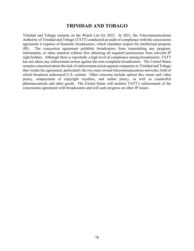# **TRINIDAD AND TOBAGO**

Trinidad and Tobago remains on the Watch List for 2022. In 2021, the Telecommunications Authority of Trinidad and Tobago (TATT) conducted an audit of compliance with the concessions agreement it requires of domestic broadcasters, which mandates respect for intellectual property (IP). The concession agreement prohibits broadcasters from transmitting any program, information, or other material without first obtaining all required permissions from relevant IP right holders. Although there is reportedly a high level of compliance among broadcasters, TATT has not taken any enforcement action against the non-compliant broadcasters. The United States remains concerned about the lack of enforcement action against companies in Trinidad and Tobago that violate the agreement, particularly the two state-owned telecommunications networks, both of which broadcast unlicensed U.S. content. Other concerns include optical disc music and video piracy, nonpayment of copyright royalties, and online piracy, as well as counterfeit pharmaceuticals and other goods. The United States will monitor TATT's enforcement of the concessions agreement with broadcasters and will seek progress on other IP issues.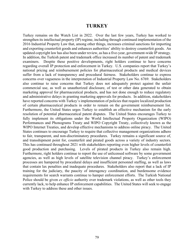#### **TURKEY**

Turkey remains on the Watch List in 2022. Over the last few years, Turkey has worked to strengthen its intellectual property (IP) regime, including through continued implementation of the 2016 Industrial Property Law that, among other things, increases criminal sanctions for importing and exporting counterfeit goods and enhances authorities' ability to destroy counterfeit goods. An updated copyright law has also been under review, as has a five-year, government-wide IP strategy. In addition, the Turkish patent and trademark office increased its number of patent and trademark examiners. Despite these positive developments, right holders continue to have concerns regarding overall IP protection and enforcement in Turkey. U.S. companies report that Turkey's national pricing and reimbursement policies for pharmaceutical products and medical devices suffer from a lack of transparency and procedural fairness. Stakeholders continue to express concerns over vagueness in the interpretation of Industrial Property Law No. 6769. Stakeholders also continue to raise concerns that Turkey does not adequately protect against the unfair commercial use, as well as unauthorized disclosure, of test or other data generated to obtain marketing approval for pharmaceutical products, and has not done enough to reduce regulatory and administrative delays in granting marketing approvals for products. In addition, stakeholders have reported concerns with Turkey's implementation of policies that require localized production of certain pharmaceutical products in order to remain on the government reimbursement list. Furthermore, the United States urges Turkey to establish an effective mechanism for the early resolution of potential pharmaceutical patent disputes. The United States encourages Turkey to fully implement its obligations under the World Intellectual Property Organization (WIPO) Performances and Phonograms Treaty and WIPO Copyright Treaty, collectively known as the WIPO Internet Treaties, and develop effective mechanisms to address online piracy. The United States continues to encourage Turkey to require that collective management organizations adhere to fair, transparent, and non-discriminatory procedures. Turkey remains a significant source of, and transshipment point for, counterfeit and pirated goods across a variety of industry sectors. This has continued throughout 2021 with stakeholders reporting even higher levels of counterfeit good production and purchasing. Levels of pirated products in Turkey also remain high. Furthermore, right holders continue to report the use of unlicensed software by some government agencies, as well as high levels of satellite television channel piracy. Turkey's enforcement processes are hampered by procedural delays and insufficient personnel staffing, as well as laws that contain lax penalties and inadequate procedures. Stakeholders also report that a lack of IP training for the judiciary, the paucity of interagency coordination, and burdensome evidence requirements for search warrants continue to hamper enforcement efforts. The Turkish National Police should be given *ex officio* authority over trademark violations, as well as other tools they currently lack, to help enhance IP enforcement capabilities. The United States will seek to engage with Turkey to address these and other issues.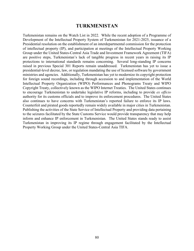## **TURKMENISTAN**

Turkmenistan remains on the Watch List in 2022. While the recent adoption of a Programme of Development of the Intellectual Property System of Turkmenistan for 2021-2025, issuance of a Presidential resolution on the establishment of an interdepartmental commission for the protection of intellectual property (IP), and participation at meetings of the Intellectual Property Working Group under the United States-Central Asia Trade and Investment Framework Agreement (TIFA) are positive steps, Turkmenistan's lack of tangible progress in recent years in raising its IP protections to international standards remains concerning. Several long-standing IP concerns raised in previous Special 301 Reports remain unaddressed. Turkmenistan has yet to issue a presidential-level decree, law, or regulation mandating the use of licensed software by government ministries and agencies. Additionally, Turkmenistan has yet to modernize its copyright protection for foreign sound recordings, including through accession to and implementation of the World Intellectual Property Organization (WIPO) Performances and Phonograms Treaty and WIPO Copyright Treaty, collectively known as the WIPO Internet Treaties. The United States continues to encourage Turkmenistan to undertake legislative IP reforms, including to provide *ex officio* authority for its customs officials and to improve its enforcement procedures. The United States also continues to have concerns with Turkmenistan's reported failure to enforce its IP laws. Counterfeit and pirated goods reportedly remain widely available in major cities in Turkmenistan. Publishing the activities of the State Service of Intellectual Property and providing data pertaining to the seizures facilitated by the State Customs Service would provide transparency that may help inform and enhance IP enforcement in Turkmenistan. The United States stands ready to assist Turkmenistan in improving its IP regime through engagement facilitated by the Intellectual Property Working Group under the United States-Central Asia TIFA.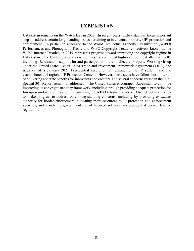# **UZBEKISTAN**

Uzbekistan remains on the Watch List in 2022. In recent years, Uzbekistan has taken important steps to address certain long-standing issues pertaining to intellectual property (IP) protection and enforcement. In particular, accession to the World Intellectual Property Organization (WIPO) Performances and Phonograms Treaty and WIPO Copyright Treaty, collectively known as the WIPO Internet Treaties, in 2019 represents progress toward improving the copyright regime in Uzbekistan. The United States also recognizes the continued high-level political attention to IP, including Uzbekistan's support for and participation in the Intellectual Property Working Group under the United States-Central Asia Trade and Investment Framework Agreement (TIFA), the issuance of a January 2021 Presidential resolution on enhancing the IP system, and the establishment of regional IP Protection Centers. However, these steps have fallen short in terms of delivering concrete benefits for innovators and creators, and several concerns raised in the 2021 Special 301 Report remain unaddressed. The United States encourages Uzbekistan to continue improving its copyright statutory framework, including through providing adequate protection for foreign sound recordings and implementing the WIPO Internet Treaties. Also, Uzbekistan needs to make progress to address other long-standing concerns, including by providing *ex officio* authority for border enforcement, allocating more resources to IP protection and enforcement agencies, and mandating government use of licensed software via presidential decree, law, or regulation.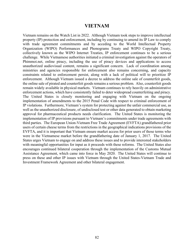## **VIETNAM**

Vietnam remains on the Watch List in 2022. Although Vietnam took steps to improve intellectual property (IP) protection and enforcement, including by continuing to amend its IP Law to comply with trade agreement commitments and by acceding to the World Intellectual Property Organization (WIPO) Performances and Phonograms Treaty and WIPO Copyright Treaty, collectively known as the WIPO Internet Treaties, IP enforcement continues to be a serious challenge. While Vietnamese authorities initiated a criminal investigation against the operators of Phimmoi.net, online piracy, including the use of piracy devices and applications to access unauthorized audiovisual content, remains a significant concern. Lack of coordination among ministries and agencies responsible for enforcement also remains concerning, and capacity constraints related to enforcement persist, along with a lack of political will to prioritize IP enforcement. Although Vietnam issued a decree to address the online sale of counterfeit goods, the online sale of pirated and counterfeit goods remains a serious problem. Also, counterfeit goods remain widely available in physical markets. Vietnam continues to rely heavily on administrative enforcement actions, which have consistently failed to deter widespread counterfeiting and piracy. The United States is closely monitoring and engaging with Vietnam on the ongoing implementation of amendments to the 2015 Penal Code with respect to criminal enforcement of IP violations. Furthermore, Vietnam's system for protecting against the unfair commercial use, as well as the unauthorized disclosure, of undisclosed test or other data generated to obtain marketing approval for pharmaceutical products needs clarification. The United States is monitoring the implementation of IP provisions pursuant to Vietnam's commitments under trade agreements with third parties. The European Union-Vietnam Free Trade Agreement (EVFTA) grandfathered prior users of certain cheese terms from the restrictions in the geographical indications provisions of the EVFTA, and it is important that Vietnam ensure market access for prior users of those terms who were in the Vietnamese market before the grandfathering date of January 1, 2017. The United States urges Vietnam to engage on and address these issues and to provide interested stakeholders with meaningful opportunities for input as it proceeds with these reforms. The United States also encourages continued bilateral cooperation through the implementation of the Customs Mutual Assistance Agreement, which came into force in May 2020. The United States will continue to press on these and other IP issues with Vietnam through the United States-Vietnam Trade and Investment Framework Agreement and other bilateral engagement.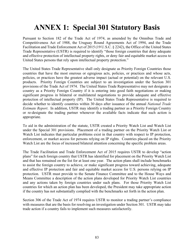# **ANNEX 1: Special 301 Statutory Basis**

Pursuant to Section 182 of the Trade Act of 1974, as amended by the Omnibus Trade and Competitiveness Act of 1988, the Uruguay Round Agreements Act of 1994, and the Trade Facilitation and Trade Enforcement Act of 2015 (19 U.S.C. § 2242), the Office of the United States Trade Representative (USTR) is required to identify "those foreign countries that deny adequate and effective protection of intellectual property rights, or deny fair and equitable market access to United States persons that rely upon intellectual property protection."

The United States Trade Representative shall only designate as Priority Foreign Countries those countries that have the most onerous or egregious acts, policies, or practices and whose acts, policies, or practices have the greatest adverse impact (actual or potential) on the relevant U.S. products. Priority Foreign Countries are subject to an investigation under the Section 301 provisions of the Trade Act of 1974. The United States Trade Representative may not designate a country as a Priority Foreign Country if it is entering into good faith negotiations or making significant progress in bilateral or multilateral negotiations to provide adequate and effective protection of intellectual property (IP). The United States Trade Representative is required to decide whether to identify countries within 30 days after issuance of the annual *National Trade Estimate Report*. In addition, USTR may identify a trading partner as a Priority Foreign Country or re-designate the trading partner whenever the available facts indicate that such action is appropriate.

To aid in the administration of the statute, USTR created a Priority Watch List and Watch List under the Special 301 provisions. Placement of a trading partner on the Priority Watch List or Watch List indicates that particular problems exist in that country with respect to IP protection, enforcement, or market access for persons relying on IP rights. Countries placed on the Priority Watch List are the focus of increased bilateral attention concerning the specific problem areas.

The Trade Facilitation and Trade Enforcement Act of 2015 requires USTR to develop "action plans" for each foreign country that USTR has identified for placement on the Priority Watch List and that has remained on the list for at least one year. The action plans shall include benchmarks to assist the foreign country to achieve, or make significant progress toward achieving, adequate and effective IP protection and fair and equitable market access for U.S. persons relying on IP protection. USTR must provide to the Senate Finance Committee and to the House Ways and Means Committee a description of the action plans developed for Priority Watch List countries and any actions taken by foreign countries under such plans. For those Priority Watch List countries for which an action plan has been developed, the President may take appropriate action if the country has not substantially complied with the benchmarks set forth in the action plan.

Section 306 of the Trade Act of 1974 requires USTR to monitor a trading partner's compliance with measures that are the basis for resolving an investigation under Section 301. USTR may take trade action if a country fails to implement such measures satisfactorily.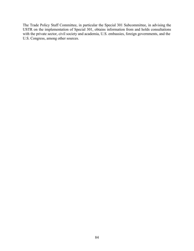The Trade Policy Staff Committee, in particular the Special 301 Subcommittee, in advising the USTR on the implementation of Special 301, obtains information from and holds consultations with the private sector, civil society and academia, U.S. embassies, foreign governments, and the U.S. Congress, among other sources.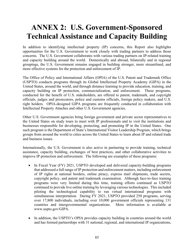# **ANNEX 2: U.S. Government-Sponsored Technical Assistance and Capacity Building**

In addition to identifying intellectual property (IP) concerns, this Report also highlights opportunities for the U.S. Government to work closely with trading partners to address those concerns. The U.S. Government collaborates with various trading partners on IP-related training and capacity building around the world. Domestically and abroad, bilaterally and in regional groupings, the U.S. Government remains engaged in building stronger, more streamlined, and more effective systems for the protection and enforcement of IP.

The Office of Policy and International Affairs (OPIA) of the U.S. Patent and Trademark Office (USPTO) conducts programs through its Global Intellectual Property Academy (GIPA) in the United States, around the world, and through distance learning to provide education, training, and capacity building on IP protection, commercialization, and enforcement. These programs, conducted for the benefit of U.S. stakeholders, are offered to patent, trademark, and copyright officials, judges and prosecutors, police and customs officials, foreign policy makers, and U.S. right holders. OPIA-designed GIPA programs are frequently conducted in collaboration with Intellectual Property Attaches and other U.S. Government agencies.

Other U.S. Government agencies bring foreign government and private sector representatives to the United States on study tours to meet with IP professionals and to visit the institutions and businesses responsible for developing, protecting, and promoting IP in the United States. One such program is the Department of State's International Visitor Leadership Program, which brings groups from around the world to cities across the United States to learn about IP and related trade and business issues.

Internationally, the U.S. Government is also active in partnering to provide training, technical assistance, capacity building, exchanges of best practices, and other collaborative activities to improve IP protection and enforcement. The following are examples of these programs:

- In Fiscal Year (FY) 2021, USPTO developed and delivered capacity-building programs that addressed a full range of IP protection and enforcement matters, including enforcement of IP rights at national borders, online piracy, express mail shipments, trade secrets, copyright policy, and patent and trademark examination. Although face-to-face training programs were very limited during this time, training efforts continued as USPTO continued to provide live online training by leveraging various technologies. This included piloting the technological capability to run virtual international programs with simultaneous interpretation. During FY 2021, USPTO provided 250 programs, serving over 17,800 individuals, including over 10,000 government officials representing 131 countries and intergovernmental organizations. More information is available at www.uspto.gov/GIPA.
- In addition, the USPTO's OPIA provides capacity building in countries around the world and has formed partnerships with 31 national, regional, and international IP organizations,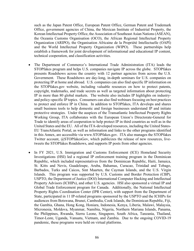such as the Japan Patent Office, European Patent Office, German Patent and Trademark Office, government agencies of China, the Mexican Institute of Industrial Property, the Korean Intellectual Property Office, the Association of Southeast Asian Nations (ASEAN), the Oceania Customs Organisation (OCO), the African Regional Intellectual Property Organization (ARIPO), the Organisation Africaine de la Propriété Intellectuelle (OAPI) and the World Intellectual Property Organization (WIPO). These partnerships help establish a framework for joint development of informational and educational IP content, technical cooperation, and classification activities.

- The Department of Commerce's International Trade Administration (ITA) leads the STOPfakes program and helps U.S. companies navigate IP across the globe. STOPfakes presents Roadshows across the country with 12 partner agencies from across the U.S. Government. These Roadshows are day-long, in-depth seminars for U.S. companies on protecting IP at home and abroad. U.S. companies can also find specific IP information on the STOPfakes.gov website, including valuable resources on how to protect patents, copyright, trademarks, and trade secrets as well as targeted information about protecting IP in more than 80 global markets. The website also includes IP highlights on industryand policy-specific IP topics. Consumers can also find webinars focusing on best practices to protect and enforce IP in China. In addition to STOPfakes, ITA develops and shares small business tools to help domestic and foreign businesses understand IP and initiate protective strategies. Under the auspices of the Transatlantic Intellectual Property Rights Working Group, ITA collaborates with the European Union's Directorate-General for Trade to identify areas of cooperation to help protect IP in third countries as well as in the United States and the EU. All of the ITA-developed resources, including the United States-EU TransAtlantic Portal, as well as information and links to the other programs identified in this Annex, are accessible via www.STOPfakes.gov. ITA also manages the STOPfakes Twitter account, @STOPfakesGov, which publicizes the release of new resources, livetweets the STOPfakes Roadshows, and supports IP posts from other agencies.
- In FY 2021, U.S. Immigration and Customs Enforcement (ICE) Homeland Security Investigations (HSI) led a regional IP enforcement training program in the Dominican Republic, which included representatives from the Dominican Republic, Haiti, Jamaica, St. Kitts and Nevis, Guadeloupe, Aruba, Bahamas, Curacao, Trinidad and Tobago, Barbados, Turks and Caicos, Sint Maarten, the Cayman Islands, and the U.S. Virgin Islands. This program was supported by U.S. Customs and Border Protection (CBP), USPTO, the Department of Justice (DOJ) International Computer Hacking and Intellectual Property Advisors (ICHIPs), and other U.S. agencies. HSI also sponsored a virtual IP and Global Trade Enforcement program for Canada. Additionally, the National Intellectual Property Rights Coordination Center (IPR Center), with support from the Department of State, participated in 11 IP-related programs sponsored by the USPTO and the ICHIPs for audiences from Botswana, Brunei, Cambodia, Cook Islands, the Dominican Republic, Fiji, the Gambia, Ghana, Hong Kong, Honiara, Indonesia, Kenya, Liberia, Malawi, Malaysia, Micronesia, Moldova, Myanmar, Namibia, Nigeria, Northern Mariana Islands, Panama, the Philippines, Rwanda, Sierra Leone, Singapore, South Africa, Tanzania, Thailand, Timor-Leste, Uganda, Vanuatu, Vietnam, and Zambia. Due to the ongoing COVID-19 pandemic, these programs were held on virtual platforms.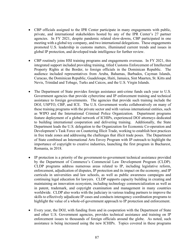- CBP officials assigned to the IPR Center participate in many engagements with public, private, and international stakeholders hosted by any of the IPR Center's 27 partner agencies. In FY 2021, despite pandemic related slow-downs, CBP participated in one meeting with a global toy company, and two international delegations. These engagements promoted U.S. leadership in customs matters, illuminated current trends and issues in global IP protection, and developed trade intelligence for further review.
- CBP routinely joins HSI training programs and engagements overseas. In FY 2021, this integrated support included providing training, titled Customs Enforcement of Intellectual Property Rights at the Border, to foreign officials in the Dominican Republic. The audience included representatives from Aruba, Bahamas, Barbados, Cayman Islands, Curacao, the Dominican Republic, Guadeloupe, Haiti, Jamaica, Sint Maarten, St. Kitts and Nevis, Trinidad and Tobago, Turks and Caicos, and the U.S. Virgin Islands.
- The Department of State provides foreign assistance anti-crime funds each year to U.S. Government agencies that provide cybercrime and IP enforcement training and technical assistance to foreign governments. The agencies that provide such training include the DOJ, USPTO, CBP, and ICE. The U.S. Government works collaboratively on many of these training programs with the private sector and with various international entities, such as WIPO and the International Criminal Police Organization. Department programs feature deployment of a global network of ICHIPs, experienced DOJ attorneys dedicated to building international cooperation and delivering training. Additionally, the State Department leads the U.S. delegation to the Organization for Economic Co-operation and Development's Task Force on Countering Illicit Trade, working to establish best practices in free trade zones and addressing the challenges that illicit trade poses. The Department of State combined an International Arts Envoy Program with IP outreach to highlight the importance of copyright to creative industries, launching the first program in Bucharest, Romania, in 2018.
- IP protection is a priority of the government-to-government technical assistance provided by the Department of Commerce's Commercial Law Development Program (CLDP). CLDP programs address numerous areas related to IP, including legislative reform, enforcement, adjudication of disputes, IP protection and its impact on the economy, and IP curricula in universities and law schools, as well as public awareness campaigns and continuing legal education for lawyers. CLDP supports capacity building in creating and maintaining an innovation ecosystem, including technology commercialization as well as in patent, trademark, and copyright examination and management in many countries worldwide. CLDP also works with the judiciary in various trading partners to improve the skills to effectively adjudicate IP cases and conducts interagency coordination programs to highlight the value of a whole-of-government approach to IP protection and enforcement.
- Every year, the DOJ, with funding from and in cooperation with the Department of State and other U.S. Government agencies, provides technical assistance and training on IP enforcement issues to thousands of foreign officials around the globe. As noted, such assistance is being increased using the new ICHIPs. Topics covered in these programs